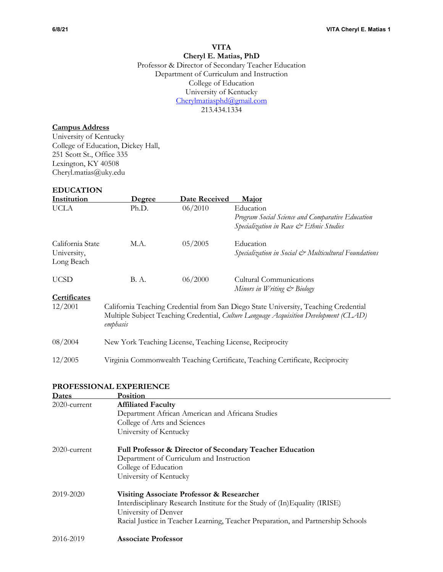# **VITA Cheryl E. Matias, PhD** Professor & Director of Secondary Teacher Education Department of Curriculum and Instruction College of Education University of Kentucky

Cherylmatiasphd@gmail.com 213.434.1334

# **Campus Address**

University of Kentucky College of Education, Dickey Hall, 251 Scott St., Office 335 Lexington, KY 40508 Cheryl.matias@uky.edu

## **EDUCATION**

| Institution      | <u>Degree</u>                                                                                                                                                                            | Date Received | Major                                                                         |
|------------------|------------------------------------------------------------------------------------------------------------------------------------------------------------------------------------------|---------------|-------------------------------------------------------------------------------|
| <b>UCLA</b>      | Ph.D.                                                                                                                                                                                    | 06/2010       | Education                                                                     |
|                  |                                                                                                                                                                                          |               | Program Social Science and Comparative Education                              |
|                  |                                                                                                                                                                                          |               | Specialization in Race & Ethnic Studies                                       |
| California State | M.A.                                                                                                                                                                                     | 05/2005       | Education                                                                     |
| University,      |                                                                                                                                                                                          |               | Specialization in Social & Multicultural Foundations                          |
| Long Beach       |                                                                                                                                                                                          |               |                                                                               |
| <b>UCSD</b>      | B. A.                                                                                                                                                                                    | 06/2000       | Cultural Communications                                                       |
|                  |                                                                                                                                                                                          |               | Minors in Writing & Biology                                                   |
| Certificates     |                                                                                                                                                                                          |               |                                                                               |
| 12/2001          | California Teaching Credential from San Diego State University, Teaching Credential<br>Multiple Subject Teaching Credential, Culture Language Acquisition Development (CLAD)<br>emphasis |               |                                                                               |
| 08/2004          | New York Teaching License, Teaching License, Reciprocity                                                                                                                                 |               |                                                                               |
| 12/2005          |                                                                                                                                                                                          |               | Virginia Commonwealth Teaching Certificate, Teaching Certificate, Reciprocity |

# **PROFESSIONAL EXPERIENCE**

| Dates           | Position                                                                         |
|-----------------|----------------------------------------------------------------------------------|
| 2020-current    | <b>Affiliated Faculty</b>                                                        |
|                 | Department African American and Africana Studies                                 |
|                 | College of Arts and Sciences                                                     |
|                 | University of Kentucky                                                           |
| $2020$ -current | <b>Full Professor &amp; Director of Secondary Teacher Education</b>              |
|                 | Department of Curriculum and Instruction                                         |
|                 | College of Education                                                             |
|                 | University of Kentucky                                                           |
| 2019-2020       | Visiting Associate Professor & Researcher                                        |
|                 | Interdisciplinary Research Institute for the Study of (In)Equality (IRISE)       |
|                 | University of Denver                                                             |
|                 | Racial Justice in Teacher Learning, Teacher Preparation, and Partnership Schools |
| 2016-2019       | <b>Associate Professor</b>                                                       |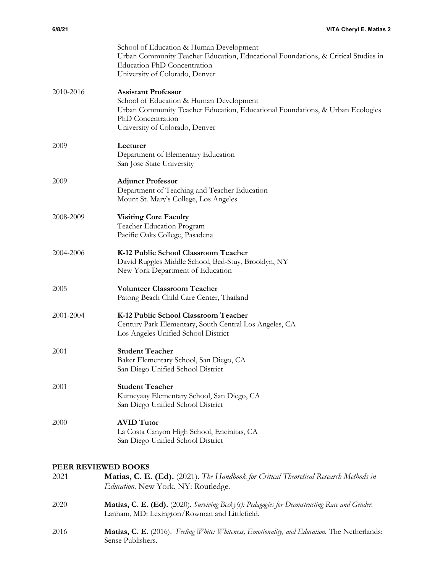| 6/8/21    | VITA Cheryl E. Matias 2                                                                                                                                                                                       |
|-----------|---------------------------------------------------------------------------------------------------------------------------------------------------------------------------------------------------------------|
|           | School of Education & Human Development<br>Urban Community Teacher Education, Educational Foundations, & Critical Studies in<br><b>Education PhD Concentration</b><br>University of Colorado, Denver          |
| 2010-2016 | <b>Assistant Professor</b><br>School of Education & Human Development<br>Urban Community Teacher Education, Educational Foundations, & Urban Ecologies<br>PhD Concentration<br>University of Colorado, Denver |
| 2009      | Lecturer<br>Department of Elementary Education<br>San Jose State University                                                                                                                                   |
| 2009      | <b>Adjunct Professor</b><br>Department of Teaching and Teacher Education<br>Mount St. Mary's College, Los Angeles                                                                                             |
| 2008-2009 | <b>Visiting Core Faculty</b><br>Teacher Education Program<br>Pacific Oaks College, Pasadena                                                                                                                   |
| 2004-2006 | K-12 Public School Classroom Teacher<br>David Ruggles Middle School, Bed-Stuy, Brooklyn, NY<br>New York Department of Education                                                                               |

- 2005 **Volunteer Classroom Teacher** Patong Beach Child Care Center, Thailand
- 2001-2004 **K-12 Public School Classroom Teacher** Century Park Elementary, South Central Los Angeles, CA Los Angeles Unified School District
- 2001 **Student Teacher** Baker Elementary School, San Diego, CA San Diego Unified School District
- 2001 **Student Teacher** Kumeyaay Elementary School, San Diego, CA San Diego Unified School District
- 2000 **AVID Tutor** La Costa Canyon High School, Encinitas, CA San Diego Unified School District

# **PEER REVIEWED BOOKS**

| 2021 | Matias, C. E. (Ed). (2021). The Handbook for Critical Theoretical Research Methods in |
|------|---------------------------------------------------------------------------------------|
|      | <i>Education.</i> New York, NY: Routledge.                                            |
| 2020 | Mede CEARA (2020) C i DI (1 DI i CEARA (2020)                                         |

- 2020 **Matias, C. E. (Ed).** (2020). *Surviving Becky(s): Pedagogies for Deconstructing Race and Gender*. Lanham, MD: Lexington/Rowman and Littlefield.
- 2016 **Matias, C. E.** (2016). *Feeling White: Whiteness, Emotionality, and Education.* The Netherlands: Sense Publishers.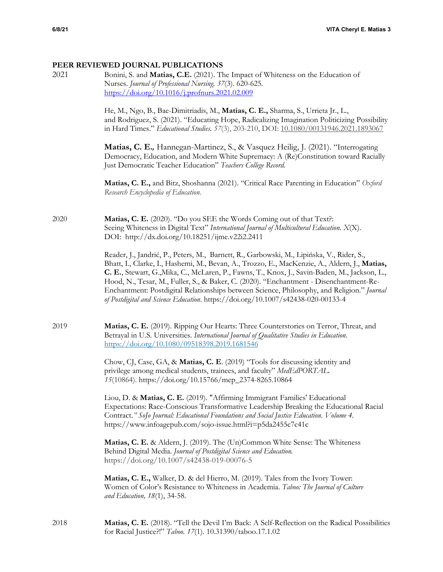# **PEER REVIEWED JOURNAL PUBLICATIONS**

| 2021 | Bonini, S. and Matias, C.E. (2021). The Impact of Whiteness on the Education of<br>Nurses. Journal of Professional Nursing. 37(3). 620-625.<br>https://doi.org/10.1016/j.profnurs.2021.02.009<br>He, M., Ngo, B., Bae-Dimitriadis, M., Matias, C. E., Sharma, S., Urrieta Jr., L.,<br>and Rodriguez, S. (2021). "Educating Hope, Radicalizing Imagination Politicizing Possibility<br>in Hard Times." Educational Studies. 57(3), 203-210, DOI: 10.1080/00131946.2021.1893067<br>Matias, C. E., Hannegan-Martinez, S., & Vasquez Heilig, J. (2021). "Interrogating<br>Democracy, Education, and Modern White Supremacy: A (Re)Constitution toward Racially<br>Just Democratic Teacher Education" Teachers College Record.<br>Matias, C. E., and Bitz, Shoshanna (2021). "Critical Race Parenting in Education" Oxford |
|------|-----------------------------------------------------------------------------------------------------------------------------------------------------------------------------------------------------------------------------------------------------------------------------------------------------------------------------------------------------------------------------------------------------------------------------------------------------------------------------------------------------------------------------------------------------------------------------------------------------------------------------------------------------------------------------------------------------------------------------------------------------------------------------------------------------------------------|
|      | Research Encyclopedia of Education.                                                                                                                                                                                                                                                                                                                                                                                                                                                                                                                                                                                                                                                                                                                                                                                   |
| 2020 | Matias, C. E. (2020). "Do you SEE the Words Coming out of that Text?:<br>Seeing Whiteness in Digital Text" International Journal of Multicultural Education. X(X).<br>DOI: http://dx.doi.org/10.18251/ijme.v22i2.2411                                                                                                                                                                                                                                                                                                                                                                                                                                                                                                                                                                                                 |
|      | Reader, J., Jandrić, P., Peters, M., Barnett, R., Garbowski, M., Lipińska, V., Rider, S.,<br>Bhatt, I., Clarke, I., Hashemi, M., Bevan, A., Trozzo, E., MacKenzie, A., Aldern, J., Matias,<br>C. E., Stewart, G., Mika, C., McLaren, P., Fawns, T., Knox, J., Savin-Baden, M., Jackson, L.,<br>Hood, N., Tesar, M., Fuller, S., & Baker, C. (2020). "Enchantment - Disenchantment-Re-<br>Enchantment: Postdigital Relationships between Science, Philosophy, and Religion." Journal<br>of Postdigital and Science Education. https://doi.org/10.1007/s42438-020-00133-4                                                                                                                                                                                                                                               |
| 2019 | Matias, C. E. (2019). Ripping Our Hearts: Three Counterstories on Terror, Threat, and<br>Betrayal in U.S. Universities. International Journal of Qualitative Studies in Education.<br>https://doi.org/10.1080/09518398.2019.1681546                                                                                                                                                                                                                                                                                                                                                                                                                                                                                                                                                                                   |
|      | Chow, CJ, Case, GA, & Matias, C. E. (2019) "Tools for discussing identity and<br>privilege among medical students, trainees, and faculty" MedEdPORTAL.<br>15(10864). https://doi.org/10.15766/mep_2374-8265.10864                                                                                                                                                                                                                                                                                                                                                                                                                                                                                                                                                                                                     |
|      | Liou, D. & Matias, C. E. (2019). "Affirming Immigrant Families' Educational<br>Expectations: Race-Conscious Transformative Leadership Breaking the Educational Racial<br>Contract." SoJo Journal: Educational Foundations and Social Justice Education. Volume 4.<br>https://www.infoagepub.com/sojo-issue.html?i=p5da2455c7c41c                                                                                                                                                                                                                                                                                                                                                                                                                                                                                      |
|      | Matias, C. E. & Aldern, J. (2019). The (Un)Common White Sense: The Whiteness<br>Behind Digital Media. Journal of Postdigital Science and Education.<br>https://doi.org/10.1007/s42438-019-00076-5                                                                                                                                                                                                                                                                                                                                                                                                                                                                                                                                                                                                                     |
|      | Matias, C. E., Walker, D. & del Hierro, M. (2019). Tales from the Ivory Tower:<br>Women of Color's Resistance to Whiteness in Academia. Taboo: The Journal of Culture<br>and Education, 18(1), 34-58.                                                                                                                                                                                                                                                                                                                                                                                                                                                                                                                                                                                                                 |

2018 **Matias, C. E.** (2018). "Tell the Devil I'm Back: A Self-Reflection on the Radical Possibilities for Racial Justice?!" *Taboo. 17*(1). 10.31390/taboo.17.1.02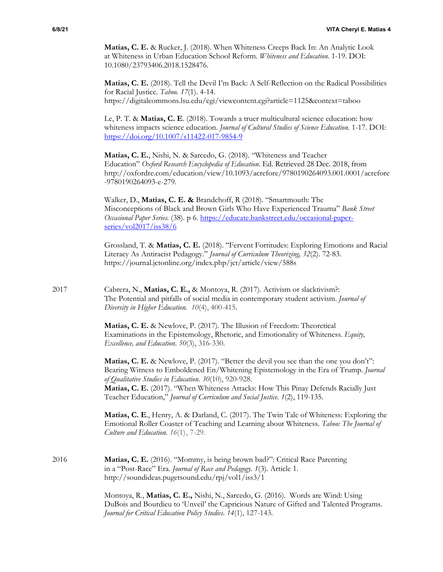**Matias, C. E.** & Rucker, J. (2018). When Whiteness Creeps Back In: An Analytic Look at Whiteness in Urban Education School Reform. *Whiteness and Education.* 1-19. DOI: 10.1080/23793406.2018.1528476.

**Matias, C. E.** (2018). Tell the Devil I'm Back: A Self-Reflection on the Radical Possibilities for Racial Justice. *Taboo. 17*(1). 4-14. https://digitalcommons.lsu.edu/cgi/viewcontent.cgi?article=1125&context=taboo

Le, P. T. & **Matias, C. E**. (2018). Towards a truer multicultural science education: how whiteness impacts science education. *Journal of Cultural Studies of Science Education.* 1-17. DOI: https://doi.org/10.1007/s11422-017-9854-9

**Matias, C. E.**, Nishi, N. & Sarcedo, G. (2018). "Whiteness and Teacher Education" *Oxford Research Encyclopedia of Education.* Ed. Retrieved 28 Dec. 2018, from http://oxfordre.com/education/view/10.1093/acrefore/9780190264093.001.0001/acrefore -9780190264093-e-279.

Walker, D., **Matias, C. E. &** Brandehoff, R (2018). "Smartmouth: The Misconceptions of Black and Brown Girls Who Have Experienced Trauma" *Bank Street Occasional Paper Series.* (38). p 6. https://educate.bankstreet.edu/occasional-paperseries/vol2017/iss38/6

Grossland, T. & **Matias, C. E.** (2018). "Fervent Fortitudes: Exploring Emotions and Racial Literacy As Antiracist Pedagogy." *Journal of Curriculum Theorizing, 32*(2). 72-83. https://journal.jctonline.org/index.php/jct/article/view/588s

2017 Cabrera, N., **Matias, C. E.,** & Montoya, R. (2017). Activism or slacktivism?: The Potential and pitfalls of social media in contemporary student activism. *Journal of Diversity in Higher Education. 10*(4), 400-415.

> **Matias, C. E.** & Newlove, P. (2017). The Illusion of Freedom: Theoretical Examinations in the Epistemology, Rhetoric, and Emotionality of Whiteness. *Equity, Excellence, and Education*. *50*(3), 316-330.

Matias, C. E. & Newlove, P. (2017). "Better the devil you see than the one you don't": Bearing Witness to Emboldened En/Whitening Epistemology in the Era of Trump. *Journal of Qualitative Studies in Education*. *30*(10), 920-928. **Matias, C. E.** (2017). "When Whiteness Attacks: How This Pinay Defends Racially Just Teacher Education," *Journal of Curriculum and Social Justice. 1*(2), 119-135.

**Matias, C. E**., Henry, A. & Darland, C. (2017). The Twin Tale of Whiteness: Exploring the Emotional Roller Coaster of Teaching and Learning about Whiteness. *Taboo: The Journal of Culture and Education. 16*(1), 7-29.

2016 **Matias, C. E.** (2016). "Mommy, is being brown bad?": Critical Race Parenting in a "Post-Race" Era. *Journal of Race and Pedagogy. 1*(3). Article 1. http://soundideas.pugetsound.edu/rpj/vol1/iss3/1

> Montoya, R., **Matias, C. E.,** Nishi, N., Sarcedo, G. (2016). Words are Wind: Using DuBois and Bourdieu to 'Unveil' the Capricious Nature of Gifted and Talented Programs. *Journal for Critical Education Policy Studies*. *14*(1), 127-143.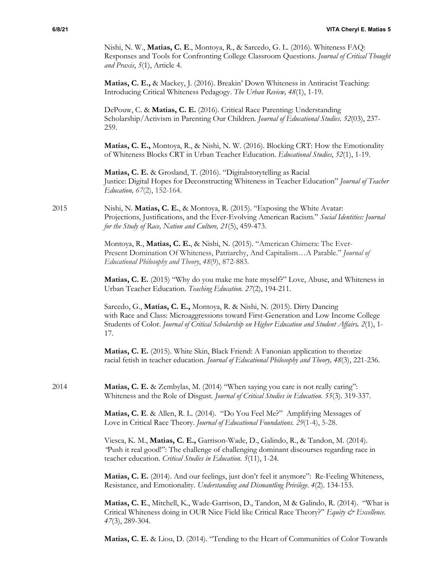Nishi, N. W., **Matias, C. E**., Montoya, R., & Sarcedo, G. L. (2016). Whiteness FAQ: Responses and Tools for Confronting College Classroom Questions. *Journal of Critical Thought and Praxis*, *5*(1), Article 4.

**Matias, C. E.,** & Mackey, J. (2016). Breakin' Down Whiteness in Antiracist Teaching: Introducing Critical Whiteness Pedagogy. *The Urban Review, 48*(1), 1-19.

DePouw, C. & **Matias, C. E.** (2016). Critical Race Parenting: Understanding Scholarship/Activism in Parenting Our Children. *Journal of Educational Studies*. *52*(03), 237- 259.

**Matias, C. E.,** Montoya, R., & Nishi, N. W. (2016). Blocking CRT: How the Emotionality of Whiteness Blocks CRT in Urban Teacher Education. *Educational Studies*, *52*(1), 1-19.

**Matias, C. E.** & Grosland, T. (2016). "Digitalstorytelling as Racial Justice: Digital Hopes for Deconstructing Whiteness in Teacher Education" *Journal of Teacher Education, 67*(2), 152-164.

## 2015 Nishi, N. **Matias, C. E.**, & Montoya, R. (2015). "Exposing the White Avatar: Projections, Justifications, and the Ever-Evolving American Racism." *Social Identities: Journal for the Study of Race, Nation and Culture, 21*(5), 459-473.

Montoya, R., **Matias, C. E.**, & Nishi, N. (2015). "American Chimera: The Ever-Present Domination Of Whiteness, Patriarchy, And Capitalism…A Parable." *Journal of Educational Philosophy and Theory*, *48*(9), 872-883.

**Matias, C. E.** (2015) "Why do you make me hate myself?" Love, Abuse, and Whiteness in Urban Teacher Education. *Teaching Education. 27*(2), 194-211.

Sarcedo, G., **Matias, C. E.,** Montoya, R. & Nishi, N. (2015). Dirty Dancing with Race and Class: Microaggressions toward First-Generation and Low Income College Students of Color. *Journal of Critical Scholarship on Higher Education and Student Affairs. 2*(1), 1- 17.

**Matias, C. E.** (2015). White Skin, Black Friend: A Fanonian application to theorize racial fetish in teacher education. *Journal of Educational Philosophy and Theory, 48*(3), 221-236.

2014 **Matias, C. E.** & Zembylas, M. (2014) "When saying you care is not really caring": Whiteness and the Role of Disgust. *Journal of Critical Studies in Education. 55*(3). 319-337.

> **Matias, C. E**. & Allen, R. L. (2014). "Do You Feel Me?" Amplifying Messages of Love in Critical Race Theory. *Journal of Educational Foundations. 29*(1-4), 5-28.

Viesca, K. M., **Matias, C. E.,** Garrison-Wade, D., Galindo, R., & Tandon, M. (2014). *"*Push it real good!": The challenge of challenging dominant discourses regarding race in teacher education*. Critical Studies in Education. 5*(11), 1-24.

**Matias, C. E.** (2014). And our feelings, just don't feel it anymore": Re-Feeling Whiteness, Resistance, and Emotionality. *Understanding and Dismantling Privilege*. *4*(2). 134-153.

**Matias, C. E**., Mitchell, K., Wade-Garrison, D., Tandon, M & Galindo, R. (2014). "What is Critical Whiteness doing in OUR Nice Field like Critical Race Theory?" *Equity & Excellence*. *47*(3), 289-304.

**Matias, C. E.** & Liou, D. (2014). "Tending to the Heart of Communities of Color Towards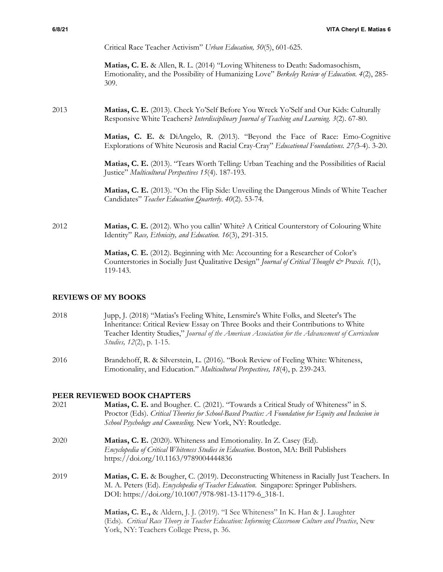Critical Race Teacher Activism" *Urban Education, 50*(5), 601-625.

**Matias, C. E.** & Allen, R. L. (2014) "Loving Whiteness to Death: Sadomasochism, Emotionality, and the Possibility of Humanizing Love" *Berkeley Review of Education. 4*(2), 285- 309.

# 2013 **Matias, C. E.** (2013). Check Yo'Self Before You Wreck Yo'Self and Our Kids: Culturally Responsive White Teachers? *Interdisciplinary Journal of Teaching and Learning. 3*(2). 67-80.

**Matias, C. E.** & DiAngelo, R. (2013). "Beyond the Face of Race: Emo-Cognitive Explorations of White Neurosis and Racial Cray-Cray" *Educational Foundations. 27(*3-4). 3-20.

**Matias, C. E.** (2013). "Tears Worth Telling: Urban Teaching and the Possibilities of Racial Justice" *Multicultural Perspectives 15*(4). 187-193.

**Matias, C. E.** (2013). "On the Flip Side: Unveiling the Dangerous Minds of White Teacher Candidates" *Teacher Education Quarterly*. *40*(2). 53-74.

2012 **Matias, C**. **E.** (2012). Who you callin' White? A Critical Counterstory of Colouring White Identity" *Race, Ethnicity, and Education. 16*(3), 291-315.

> **Matias, C**. **E.** (2012). Beginning with Me: Accounting for a Researcher of Color's Counterstories in Socially Just Qualitative Design" *Journal of Critical Thought & Praxis. 1*(1), 119-143.

# **REVIEWS OF MY BOOKS**

- 2018 Jupp, J. (2018) "Matias's Feeling White, Lensmire's White Folks, and Sleeter's The Inheritance: Critical Review Essay on Three Books and their Contributions to White Teacher Identity Studies," *Journal of the American Association for the Advancement of Curriculum Studies, 12*(2), p. 1-15.
- 2016 Brandehoff, R. & Silverstein, L. (2016). "Book Review of Feeling White: Whiteness, Emotionality, and Education." *Multicultural Perspectives, 18*(4), p. 239-243.

# **PEER REVIEWED BOOK CHAPTERS**

- 2021 **Matias, C. E.** and Bougher. C. (2021). "Towards a Critical Study of Whiteness" in S. Proctor (Eds). *Critical Theories for School-Based Practice: A Foundation for Equity and Inclusion in School Psychology and Counseling.* New York, NY: Routledge.
- 2020 **Matias, C. E.** (2020). Whiteness and Emotionality. In Z. Casey (Ed). *Encyclopedia of Critical Whiteness Studies in Education*. Boston, MA: Brill Publishers https://doi.org/10.1163/9789004444836
- 2019 **Matias, C. E.** & Bougher, C. (2019). Deconstructing Whiteness in Racially Just Teachers. In M. A. Peters (Ed). *Encyclopedia of Teacher Education*. Singapore: Springer Publishers. DOI: https://doi.org/10.1007/978-981-13-1179-6\_318-1.

**Matias, C. E.,** & Aldern, J. J. (2019). "I See Whiteness" In K. Han & J. Laughter (Eds). *Critical Race Theory in Teacher Education: Informing Classroom Culture and Practice*, New York, NY: Teachers College Press, p. 36.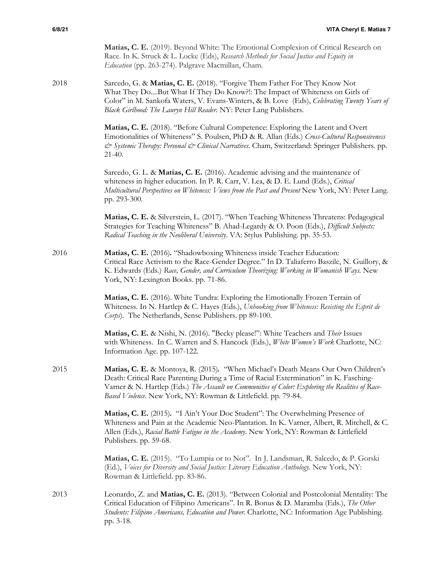**Matias, C. E.** (2019). Beyond White: The Emotional Complexion of Critical Research on Race. In K. Struck & L. Locke (Eds), *Research Methods for Social Justice and Equity in Education* (pp. 263-274). Palgrave Macmillan, Cham.

2018 Sarcedo, G. & **Matias, C. E.** (2018). "Forgive Them Father For They Know Not What They Do....But What If They Do Know?!: The Impact of Whiteness on Girls of Color" in M. Sankofa Waters, V. Evans-Winters, & B. Love (Eds), *Celebrating Twenty Years of Black Girlhood: The Lauryn Hill Reader.* NY: Peter Lang Publishers.

> **Matias, C. E.** (2018). "Before Cultural Competence: Exploring the Latent and Overt Emotionalities of Whiteness" S. Poulsen, PhD & R. Allan (Eds*.*) *Cross-Cultural Responsiveness & Systemic Therapy: Personal & Clinical Narratives*. Cham, Switzerland: Springer Publishers. pp. 21-40.

> Sarcedo, G. L. & **Matias, C. E.** (2016). Academic advising and the maintenance of whiteness in higher education. In P. R. Carr, V. Lea, & D. E. Lund (Eds.), *Critical Multicultural Perspectives on Whiteness: Views from the Past and Present* New York, NY: Peter Lang. pp. 293-300*.*

**Matias, C. E.** & Silverstein, L. (2017). "When Teaching Whiteness Threatens: Pedagogical Strategies for Teaching Whiteness" B. Ahad-Legardy & O. Poon (Eds.), *Difficult Subjects: Radical Teaching in the Neoliberal University*. VA: Stylus Publishing. pp. 35-53.

2016 **Matias, C. E.** (2016)*.* "Shadowboxing Whiteness inside Teacher Education: Critical Race Activism to the Race-Gender Degree." In D. Taliaferro Baszile, N. Guillory, & K. Edwards (Eds.) *Race, Gender, and Curriculum Theorizing: Working in Womanish Ways.* New York, NY: Lexington Books. pp. 71-86.

> **Matias, C. E.** (2016). White Tundra: Exploring the Emotionally Frozen Terrain of Whiteness*.* In N. Hartlep & C. Hayes (Eds.), *Unhooking from Whiteness: Resisting the Esprit de Corps*). The Netherlands, Sense Publishers. pp 89-100.

> **Matias, C. E.** & Nishi, N. (2016). "Becky please!": White Teachers and *Their* Issues with Whiteness. In C. Warren and S. Hancock (Eds.), *White Women's Work* Charlotte, NC: Information Age. pp. 107-122*.*

2015 **Matias, C. E.** & Montoya, R. (2015)*.* "When Michael's Death Means Our Own Children's Death: Critical Race Parenting During a Time of Racial Extermination" in K. Fasching-Varner & N. Hartlep (Eds.) *The Assault on Communities of Color: Exploring the Realities of Race-Based Violence*. New York, NY: Rowman & Littlefield. pp. 79-84.

> **Matias, C. E.** (2015)*.* "I Ain't Your Doc Student": The Overwhelming Presence of Whiteness and Pain at the Academic Neo-Plantation. In K. Varner, Albert, R. Mitchell, & C. Allen (Eds.), *Racial Battle Fatigue in the Academy*. New York, NY: Rowman & Littlefield Publishers. pp. 59-68.

**Matias, C. E.** (2015). "To Lumpia or to Not". In J. Landsman, R. Salcedo, & P. Gorski (Ed.), *Voices for Diversity and Social Justice: Literary Education Anthology.* New York, NY: Rowman & Littlefield. pp. 83-86.

2013 Leonardo, Z. and **Matias, C. E.** (2013). "Between Colonial and Postcolonial Mentality: The Critical Education of Filipino Americans". In R. Bonus & D. Maramba (Eds.), *The Other Students: Filipino Americans, Education and Power.* Charlotte, NC: Information Age Publishing. pp. 3-18.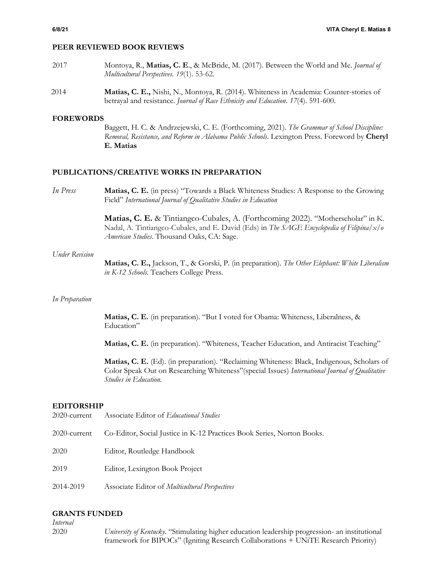## **PEER REVIEWED BOOK REVIEWS**

- 2017 Montoya, R., **Matias, C. E**., & McBride, M. (2017). Between the World and Me. *Journal of Multicultural Perspectives. 19*(1). 53-62.
- 2014 **Matias, C. E.,** Nishi, N., Montoya, R. (2014). Whiteness in Academia: Counter-stories of betrayal and resistance. *Journal of Race Ethnicity and Education*. *17*(4). 591-600.

## **FOREWORDS**

Baggett, H. C. & Andrzejewski, C. E. (Forthcoming, 2021). *The Grammar of School Discipline: Removal, Resistance, and Reform in Alabama Public Schools*. Lexington Press. Foreword by **Cheryl E. Matias**

## **PUBLICATIONS/CREATIVE WORKS IN PREPARATION**

*In Press* **Matias, C. E.** (in press) "Towards a Black Whiteness Studies: A Response to the Growing Field" *International Journal of Qualitative Studies in Education*

> **Matias, C. E.** & Tintiangco-Cubales, A. (Forthcoming 2022). "Motherscholar" in K. Nadal, A. Tintiangco-Cubales, and E. David (Eds) in *The SAGE Encyclopedia of Filipina/x/o American Studies*. Thousand Oaks, CA: Sage.

### *Under Revision*

**Matias, C. E.,** Jackson, T., & Gorski, P. (in preparation). *The Other Elephant: White Liberalism in K-12 Schools*. Teachers College Press.

### *In Preparation*

**Matias, C. E.** (in preparation). "But I voted for Obama: Whiteness, Liberalness, & Education"

**Matias, C. E.** (in preparation). "Whiteness, Teacher Education, and Antiracist Teaching"

**Matias, C. E.** (Ed). (in preparation). "Reclaiming Whiteness: Black, Indigenous, Scholars of Color Speak Out on Researching Whiteness"(special Issues) *International Journal of Qualitative Studies in Education.*

### **EDITORSHIP**

- 2020-current Associate Editor of *Educational Studies*
- 2020-current Co-Editor, Social Justice in K-12 Practices Book Series, Norton Books.
- 2020 Editor, Routledge Handbook
- 2019 Editor, Lexington Book Project
- 2014-2019 Associate Editor of *Multicultural Perspectives*

## **GRANTS FUNDED**

*Internal*

2020 *University of Kentucky.* "Stimulating higher education leadership progression- an institutional framework for BIPOCs" (Igniting Research Collaborations + UNiTE Research Priority)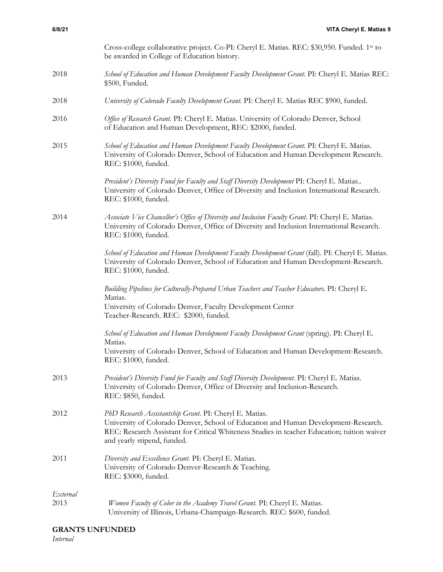|                  | Cross-college collaborative project. Co-PI: Cheryl E. Matias. REC: \$30,950. Funded. 1st to<br>be awarded in College of Education history.                                                                                                                                  |
|------------------|-----------------------------------------------------------------------------------------------------------------------------------------------------------------------------------------------------------------------------------------------------------------------------|
| 2018             | School of Education and Human Development Faculty Development Grant. PI: Cheryl E. Matias REC:<br>\$500, Funded.                                                                                                                                                            |
| 2018             | University of Colorado Faculty Development Grant. PI: Cheryl E. Matias REC \$900, funded.                                                                                                                                                                                   |
| 2016             | Office of Research Grant. PI: Cheryl E. Matias. University of Colorado Denver, School<br>of Education and Human Development, REC: \$2000, funded.                                                                                                                           |
| 2015             | School of Education and Human Development Faculty Development Grant. PI: Cheryl E. Matias.<br>University of Colorado Denver, School of Education and Human Development Research.<br>REC: \$1000, funded.                                                                    |
|                  | President's Diversity Fund for Faculty and Staff Diversity Development PI: Cheryl E. Matias<br>University of Colorado Denver, Office of Diversity and Inclusion International Research.<br>REC: \$1000, funded.                                                             |
| 2014             | Associate Vice Chancellor's Office of Diversity and Inclusion Faculty Grant. PI: Cheryl E. Matias.<br>University of Colorado Denver, Office of Diversity and Inclusion International Research.<br>REC: \$1000, funded.                                                      |
|                  | School of Education and Human Development Faculty Development Grant (fall). PI: Cheryl E. Matias.<br>University of Colorado Denver, School of Education and Human Development-Research.<br>REC: \$1000, funded.                                                             |
|                  | Building Pipelines for Culturally-Prepared Urban Teachers and Teacher Educators. PI: Cheryl E.<br>Matias.                                                                                                                                                                   |
|                  | University of Colorado Denver, Faculty Development Center<br>Teacher-Research. REC: \$2000, funded.                                                                                                                                                                         |
|                  | School of Education and Human Development Faculty Development Grant (spring). PI: Cheryl E.<br>Matias.                                                                                                                                                                      |
|                  | University of Colorado Denver, School of Education and Human Development-Research.<br>REC: \$1000, funded.                                                                                                                                                                  |
| 2013             | President's Diversity Fund for Faculty and Staff Diversity Development. PI: Cheryl E. Matias.<br>University of Colorado Denver, Office of Diversity and Inclusion-Research.<br>REC: \$850, funded.                                                                          |
| 2012             | PhD Research Assistantship Grant. PI: Cheryl E. Matias.<br>University of Colorado Denver, School of Education and Human Development-Research.<br>REC: Research Assistant for Critical Whiteness Studies in teacher Education; tuition waiver<br>and yearly stipend, funded. |
| 2011             | Diversity and Excellence Grant. PI: Cheryl E. Matias.<br>University of Colorado Denver-Research & Teaching.<br>REC: \$3000, funded.                                                                                                                                         |
| External<br>2013 | Women Faculty of Color in the Academy Travel Grant. PI: Cheryl E. Matias.<br>University of Illinois, Urbana-Champaign-Research. REC: \$600, funded.                                                                                                                         |

*Internal*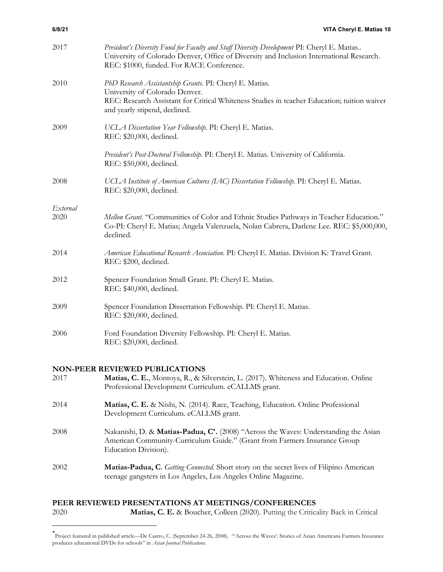| 2017             | President's Diversity Fund for Faculty and Staff Diversity Development PI: Cheryl E. Matias<br>University of Colorado Denver, Office of Diversity and Inclusion International Research.<br>REC: \$1000, funded. For RACE Conference. |
|------------------|--------------------------------------------------------------------------------------------------------------------------------------------------------------------------------------------------------------------------------------|
| 2010             | PhD Research Assistantship Grants. PI: Cheryl E. Matias.<br>University of Colorado Denver.<br>REC: Research Assistant for Critical Whiteness Studies in teacher Education; tuition waiver<br>and yearly stipend, declined.           |
| 2009             | UCLA Dissertation Year Fellowship. PI: Cheryl E. Matias.<br>REC: \$20,000, declined.                                                                                                                                                 |
|                  | President's Post-Doctoral Fellowship. PI: Cheryl E. Matias. University of California.<br>REC: \$50,000, declined.                                                                                                                    |
| 2008             | UCLA Institute of American Cultures (IAC) Dissertation Fellowship. PI: Cheryl E. Matias.<br>REC: \$20,000, declined.                                                                                                                 |
|                  |                                                                                                                                                                                                                                      |
| External<br>2020 | Mellon Grant. "Communities of Color and Ethnic Studies Pathways in Teacher Education."<br>Co-PI: Cheryl E. Matias; Angela Valenzuela, Nolan Cabrera, Darlene Lee. REC: \$5,000,000,<br>declined.                                     |
| 2014             | American Educational Research Association. PI: Cheryl E. Matias. Division K: Travel Grant.<br>REC: \$200, declined.                                                                                                                  |
| 2012             | Spencer Foundation Small Grant. PI: Cheryl E. Matias.<br>REC: \$40,000, declined.                                                                                                                                                    |
| 2009             | Spencer Foundation Dissertation Fellowship. PI: Cheryl E. Matias.<br>REC: \$20,000, declined.                                                                                                                                        |
| 2006             | Ford Foundation Diversity Fellowship. PI: Cheryl E. Matias.<br>REC: \$20,000, declined.                                                                                                                                              |

# **NON-PEER REVIEWED PUBLICATIONS**

| 2017 | Matias, C. E., Montoya, R., & Silverstein, L. (2017). Whiteness and Education. Online<br>Professional Development Curriculum. eCALLMS grant.                                             |
|------|------------------------------------------------------------------------------------------------------------------------------------------------------------------------------------------|
| 2014 | Matias, C. E. & Nishi, N. (2014). Race, Teaching, Education. Online Professional<br>Development Curriculum. eCALLMS grant.                                                               |
| 2008 | Nakanishi, D. & Matias-Padua, C*. (2008) "Across the Waves: Understanding the Asian<br>American Community-Curriculum Guide." (Grant from Farmers Insurance Group<br>Education Division). |
| 2002 | Matias-Padua, C. Getting Connected. Short story on the secret lives of Filipino American<br>teenage gangsters in Los Angeles, Los Angeles Online Magazine.                               |

# **PEER REVIEWED PRESENTATIONS AT MEETINGS/CONFERENCES**

2020 **Matias, C. E.** & Boucher, Colleen (2020). Putting the Criticality Back in Critical

<sup>\*</sup> Project featured in published article—De Castro, C. (September 24-26, 2008). "'Across the Waves': Stories of Asian Americans Farmers Insurance produces educational DVDs for schools" in *Asian Journal Publications*.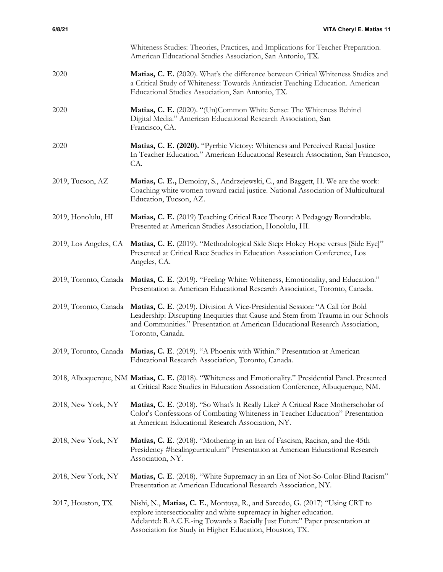|                       | Whiteness Studies: Theories, Practices, and Implications for Teacher Preparation.<br>American Educational Studies Association, San Antonio, TX.                                                                                                                                               |
|-----------------------|-----------------------------------------------------------------------------------------------------------------------------------------------------------------------------------------------------------------------------------------------------------------------------------------------|
| 2020                  | Matias, C. E. (2020). What's the difference between Critical Whiteness Studies and<br>a Critical Study of Whiteness: Towards Antiracist Teaching Education. American<br>Educational Studies Association, San Antonio, TX.                                                                     |
| 2020                  | Matias, C. E. (2020). "(Un)Common White Sense: The Whiteness Behind<br>Digital Media." American Educational Research Association, San<br>Francisco, CA.                                                                                                                                       |
| 2020                  | Matias, C. E. (2020). "Pyrrhic Victory: Whiteness and Perceived Racial Justice<br>In Teacher Education." American Educational Research Association, San Francisco,<br>CA.                                                                                                                     |
| 2019, Tucson, AZ      | Matias, C. E., Demoiny, S., Andrzejewski, C., and Baggett, H. We are the work:<br>Coaching white women toward racial justice. National Association of Multicultural<br>Education, Tucson, AZ.                                                                                                 |
| 2019, Honolulu, HI    | Matias, C. E. (2019) Teaching Critical Race Theory: A Pedagogy Roundtable.<br>Presented at American Studies Association, Honolulu, HI.                                                                                                                                                        |
|                       | 2019, Los Angeles, CA Matias, C. E. (2019). "Methodological Side Step: Hokey Hope versus [Side Eye]"<br>Presented at Critical Race Studies in Education Association Conference, Los<br>Angeles, CA.                                                                                           |
|                       | 2019, Toronto, Canada Matias, C. E. (2019). "Feeling White: Whiteness, Emotionality, and Education."<br>Presentation at American Educational Research Association, Toronto, Canada.                                                                                                           |
| 2019, Toronto, Canada | Matias, C. E. (2019). Division A Vice-Presidential Session: "A Call for Bold<br>Leadership: Disrupting Inequities that Cause and Stem from Trauma in our Schools<br>and Communities." Presentation at American Educational Research Association,<br>Toronto, Canada.                          |
|                       | 2019, Toronto, Canada Matias, C. E. (2019). "A Phoenix with Within." Presentation at American<br>Educational Research Association, Toronto, Canada.                                                                                                                                           |
|                       | 2018, Albuquerque, NM Matias, C. E. (2018). "Whiteness and Emotionality." Presidential Panel. Presented<br>at Critical Race Studies in Education Association Conference, Albuquerque, NM.                                                                                                     |
| 2018, New York, NY    | Matias, C. E. (2018). "So What's It Really Like? A Critical Race Motherscholar of<br>Color's Confessions of Combating Whiteness in Teacher Education" Presentation<br>at American Educational Research Association, NY.                                                                       |
| 2018, New York, NY    | Matias, C. E. (2018). "Mothering in an Era of Fascism, Racism, and the 45th<br>Presidency #healingcurriculum" Presentation at American Educational Research<br>Association, NY.                                                                                                               |
| 2018, New York, NY    | Matias, C. E. (2018). "White Supremacy in an Era of Not-So-Color-Blind Racism"<br>Presentation at American Educational Research Association, NY.                                                                                                                                              |
| 2017, Houston, TX     | Nishi, N., Matias, C. E., Montoya, R., and Sarcedo, G. (2017) "Using CRT to<br>explore intersectionality and white supremacy in higher education.<br>Adelantel: R.A.C.E.-ing Towards a Racially Just Future" Paper presentation at<br>Association for Study in Higher Education, Houston, TX. |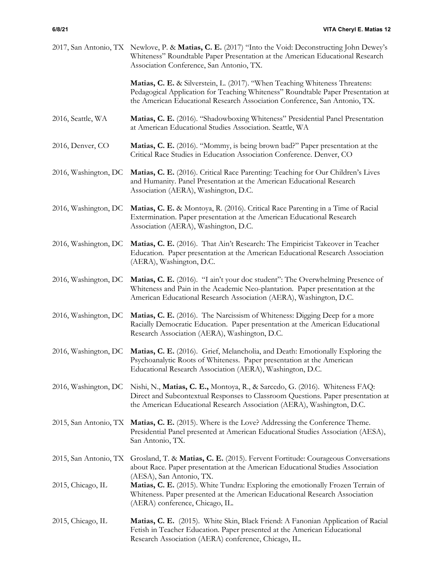|                       | 2017, San Antonio, TX Newlove, P. & Matias, C. E. (2017) "Into the Void: Deconstructing John Dewey's<br>Whiteness" Roundtable Paper Presentation at the American Educational Research<br>Association Conference, San Antonio, TX.             |
|-----------------------|-----------------------------------------------------------------------------------------------------------------------------------------------------------------------------------------------------------------------------------------------|
|                       | Matias, C. E. & Silverstein, L. (2017). "When Teaching Whiteness Threatens:<br>Pedagogical Application for Teaching Whiteness" Roundtable Paper Presentation at<br>the American Educational Research Association Conference, San Antonio, TX. |
| 2016, Seattle, WA     | Matias, C. E. (2016). "Shadowboxing Whiteness" Presidential Panel Presentation<br>at American Educational Studies Association. Seattle, WA                                                                                                    |
| 2016, Denver, CO      | Matias, C. E. (2016). "Mommy, is being brown bad?" Paper presentation at the<br>Critical Race Studies in Education Association Conference. Denver, CO                                                                                         |
| 2016, Washington, DC  | Matias, C. E. (2016). Critical Race Parenting: Teaching for Our Children's Lives<br>and Humanity. Panel Presentation at the American Educational Research<br>Association (AERA), Washington, D.C.                                             |
| 2016, Washington, DC  | Matias, C. E. & Montoya, R. (2016). Critical Race Parenting in a Time of Racial<br>Extermination. Paper presentation at the American Educational Research<br>Association (AERA), Washington, D.C.                                             |
| 2016, Washington, DC  | Matias, C. E. (2016). That Ain't Research: The Empiricist Takeover in Teacher<br>Education. Paper presentation at the American Educational Research Association<br>(AERA), Washington, D.C.                                                   |
| 2016, Washington, DC  | Matias, C. E. (2016). "I ain't your doc student": The Overwhelming Presence of<br>Whiteness and Pain in the Academic Neo-plantation. Paper presentation at the<br>American Educational Research Association (AERA), Washington, D.C.          |
| 2016, Washington, DC  | Matias, C. E. (2016). The Narcissism of Whiteness: Digging Deep for a more<br>Racially Democratic Education. Paper presentation at the American Educational<br>Research Association (AERA), Washington, D.C.                                  |
| 2016, Washington, DC  | Matias, C. E. (2016). Grief, Melancholia, and Death: Emotionally Exploring the<br>Psychoanalytic Roots of Whiteness. Paper presentation at the American<br>Educational Research Association (AERA), Washington, D.C.                          |
| 2016, Washington, DC  | Nishi, N., Matias, C. E., Montoya, R., & Sarcedo, G. (2016). Whiteness FAQ:<br>Direct and Subcontextual Responses to Classroom Questions. Paper presentation at<br>the American Educational Research Association (AERA), Washington, D.C.     |
|                       | 2015, San Antonio, TX Matias, C. E. (2015). Where is the Love? Addressing the Conference Theme.<br>Presidential Panel presented at American Educational Studies Association (AESA),<br>San Antonio, TX.                                       |
| 2015, San Antonio, TX | Grosland, T. & Matias, C. E. (2015). Fervent Fortitude: Courageous Conversations<br>about Race. Paper presentation at the American Educational Studies Association                                                                            |
| 2015, Chicago, IL     | (AESA), San Antonio, TX.<br>Matias, C. E. (2015). White Tundra: Exploring the emotionally Frozen Terrain of<br>Whiteness. Paper presented at the American Educational Research Association<br>(AERA) conference, Chicago, IL.                 |
| 2015, Chicago, IL     | Matias, C. E. (2015). White Skin, Black Friend: A Fanonian Application of Racial<br>Fetish in Teacher Education. Paper presented at the American Educational<br>Research Association (AERA) conference, Chicago, IL.                          |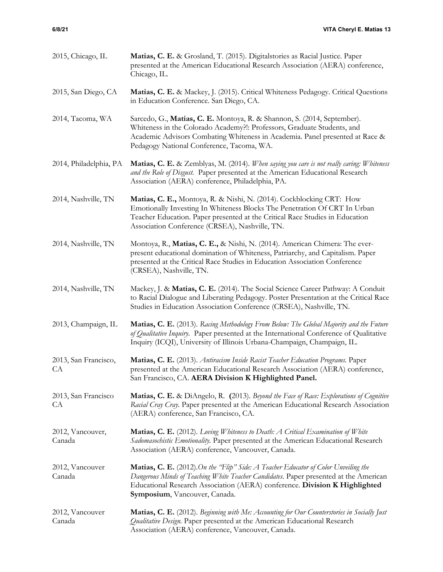| 2015, Chicago, IL          | Matias, C. E. & Grosland, T. (2015). Digitalstories as Racial Justice. Paper<br>presented at the American Educational Research Association (AERA) conference,<br>Chicago, IL.                                                                                                               |
|----------------------------|---------------------------------------------------------------------------------------------------------------------------------------------------------------------------------------------------------------------------------------------------------------------------------------------|
| 2015, San Diego, CA        | Matias, C. E. & Mackey, J. (2015). Critical Whiteness Pedagogy. Critical Questions<br>in Education Conference. San Diego, CA.                                                                                                                                                               |
| 2014, Tacoma, WA           | Sarcedo, G., Matias, C. E. Montoya, R. & Shannon, S. (2014, September).<br>Whiteness in the Colorado Academy?!: Professors, Graduate Students, and<br>Academic Advisors Combating Whiteness in Academia. Panel presented at Race &<br>Pedagogy National Conference, Tacoma, WA.             |
| 2014, Philadelphia, PA     | Matias, C. E. & Zemblyas, M. (2014). When saying you care is not really caring: Whiteness<br>and the Role of Disgust. Paper presented at the American Educational Research<br>Association (AERA) conference, Philadelphia, PA.                                                              |
| 2014, Nashville, TN        | Matias, C. E., Montoya, R. & Nishi, N. (2014). Cockblocking CRT: How<br>Emotionally Investing In Whiteness Blocks The Penetration Of CRT In Urban<br>Teacher Education. Paper presented at the Critical Race Studies in Education<br>Association Conference (CRSEA), Nashville, TN.         |
| 2014, Nashville, TN        | Montoya, R., Matias, C. E., & Nishi, N. (2014). American Chimera: The ever-<br>present educational domination of Whiteness, Patriarchy, and Capitalism. Paper<br>presented at the Critical Race Studies in Education Association Conference<br>(CRSEA), Nashville, TN.                      |
| 2014, Nashville, TN        | Mackey, J. & Matias, C. E. (2014). The Social Science Career Pathway: A Conduit<br>to Racial Dialogue and Liberating Pedagogy. Poster Presentation at the Critical Race<br>Studies in Education Association Conference (CRSEA), Nashville, TN.                                              |
| 2013, Champaign, IL        | Matias, C. E. (2013). Racing Methodology From Below: The Global Majority and the Future<br>of Qualitative Inquiry. Paper presented at the International Conference of Qualitative<br>Inquiry (ICQI), University of Illinois Urbana-Champaign, Champaign, IL.                                |
| 2013, San Francisco,<br>CA | Matias, C. E. (2013). Antiracism Inside Racist Teacher Education Programs. Paper<br>presented at the American Educational Research Association (AERA) conference,<br>San Francisco, CA. AERA Division K Highlighted Panel.                                                                  |
| 2013, San Francisco<br>СA  | Matias, C. E. & DiAngelo, R. (2013). Beyond the Face of Race: Explorations of Cognitive<br>Racial Cray Cray. Paper presented at the American Educational Research Association<br>(AERA) conference, San Francisco, CA.                                                                      |
| 2012, Vancouver,<br>Canada | Matias, C. E. (2012). Loving Whiteness to Death: A Critical Examination of White<br>Sadomasochistic Emotionality. Paper presented at the American Educational Research<br>Association (AERA) conference, Vancouver, Canada.                                                                 |
| 2012, Vancouver<br>Canada  | Matias, C. E. (2012). On the "Flip" Side: A Teacher Educator of Color Unveiling the<br>Dangerous Minds of Teaching White Teacher Candidates. Paper presented at the American<br>Educational Research Association (AERA) conference. Division K Highlighted<br>Symposium, Vancouver, Canada. |
| 2012, Vancouver<br>Canada  | Matias, C. E. (2012). Beginning with Me: Accounting for Our Counterstories in Socially Just<br>Qualitative Design. Paper presented at the American Educational Research<br>Association (AERA) conference, Vancouver, Canada.                                                                |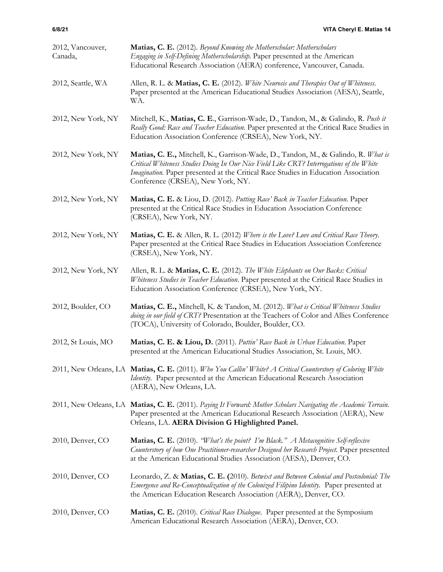| 2012, Vancouver,<br>Canada, | Matias, C. E. (2012). Beyond Knowing the Motherscholar: Motherscholars<br>Engaging in Self-Defining Motherscholarship. Paper presented at the American<br>Educational Research Association (AERA) conference, Vancouver, Canada.                                                                         |
|-----------------------------|----------------------------------------------------------------------------------------------------------------------------------------------------------------------------------------------------------------------------------------------------------------------------------------------------------|
| 2012, Seattle, WA           | Allen, R. L. & Matias, C. E. (2012). White Neurosis and Therapies Out of Whiteness.<br>Paper presented at the American Educational Studies Association (AESA), Seattle,<br>WA.                                                                                                                           |
| 2012, New York, NY          | Mitchell, K., Matias, C. E., Garrison-Wade, D., Tandon, M., & Galindo, R. Push it<br>Really Good: Race and Teacher Education. Paper presented at the Critical Race Studies in<br>Education Association Conference (CRSEA), New York, NY.                                                                 |
| 2012, New York, NY          | Matias, C. E., Mitchell, K., Garrison-Wade, D., Tandon, M., & Galindo, R. What is<br>Critical Whiteness Studies Doing In Our Nice Field Like CRT? Interrogations of the White<br>Imagination. Paper presented at the Critical Race Studies in Education Association<br>Conference (CRSEA), New York, NY. |
| 2012, New York, NY          | Matias, C. E. & Liou, D. (2012). Putting Race' Back in Teacher Education. Paper<br>presented at the Critical Race Studies in Education Association Conference<br>(CRSEA), New York, NY.                                                                                                                  |
| 2012, New York, NY          | Matias, C. E. & Allen, R. L. (2012) Where is the Love? Love and Critical Race Theory.<br>Paper presented at the Critical Race Studies in Education Association Conference<br>(CRSEA), New York, NY.                                                                                                      |
| 2012, New York, NY          | Allen, R. L. & Matias, C. E. (2012). The White Elephants on Our Backs: Critical<br>Whiteness Studies in Teacher Education. Paper presented at the Critical Race Studies in<br>Education Association Conference (CRSEA), New York, NY.                                                                    |
| 2012, Boulder, CO           | Matias, C. E., Mitchell, K. & Tandon, M. (2012). What is Critical Whiteness Studies<br>doing in our field of CRT? Presentation at the Teachers of Color and Allies Conference<br>(TOCA), University of Colorado, Boulder, Boulder, CO.                                                                   |
| 2012, St Louis, MO          | Matias, C. E. & Liou, D. (2011). Puttin' Race Back in Urban Education. Paper<br>presented at the American Educational Studies Association, St. Louis, MO.                                                                                                                                                |
|                             | 2011, New Orleans, LA Matias, C. E. (2011). Who You Callin' White? A Critical Counterstory of Coloring White<br>Identity. Paper presented at the American Educational Research Association<br>(AERA), New Orleans, LA.                                                                                   |
|                             | 2011, New Orleans, LA Matias, C. E. (2011). Paying It Forward: Mother Scholars Navigating the Academic Terrain.<br>Paper presented at the American Educational Research Association (AERA), New<br>Orleans, LA. AERA Division G Highlighted Panel.                                                       |
| 2010, Denver, CO            | Matias, C. E. (2010). "What's the point? I'm Black." A Metacognitive Self-reflexive<br>Counterstory of how One Practitioner-researcher Designed her Research Project. Paper presented<br>at the American Educational Studies Association (AESA), Denver, CO.                                             |
| 2010, Denver, CO            | Leonardo, Z. & Matias, C. E. (2010). Betwixt and Between Colonial and Postcolonial: The<br>Emergence and Re-Conceptualization of the Colonized Filipino Identity. Paper presented at<br>the American Education Research Association (AERA), Denver, CO.                                                  |
| 2010, Denver, CO            | Matias, C. E. (2010). Critical Race Dialogue. Paper presented at the Symposium<br>American Educational Research Association (AERA), Denver, CO.                                                                                                                                                          |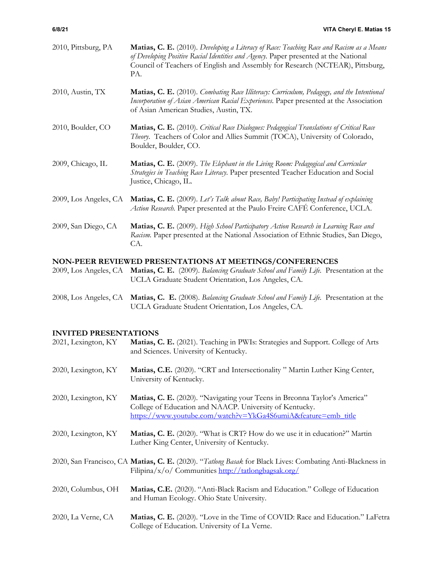| 2010, Pittsburg, PA   | Matias, C. E. (2010). Developing a Literacy of Race: Teaching Race and Racism as a Means<br>of Developing Positive Racial Identities and Agency. Paper presented at the National<br>Council of Teachers of English and Assembly for Research (NCTEAR), Pittsburg,<br>PA. |
|-----------------------|--------------------------------------------------------------------------------------------------------------------------------------------------------------------------------------------------------------------------------------------------------------------------|
| 2010, Austin, TX      | Matias, C. E. (2010). Combating Race Illiteracy: Curriculum, Pedagogy, and the Intentional<br>Incorporation of Asian American Racial Experiences. Paper presented at the Association<br>of Asian American Studies, Austin, TX.                                           |
| 2010, Boulder, CO     | Matias, C. E. (2010). Critical Race Dialogues: Pedagogical Translations of Critical Race<br>Theory. Teachers of Color and Allies Summit (TOCA), University of Colorado,<br>Boulder, Boulder, CO.                                                                         |
| 2009, Chicago, IL     | Matias, C. E. (2009). The Elephant in the Living Room: Pedagogical and Curricular<br>Strategies in Teaching Race Literacy. Paper presented Teacher Education and Social<br>Justice, Chicago, IL.                                                                         |
| 2009, Los Angeles, CA | Matias, C. E. (2009). Let's Talk about Race, Baby! Participating Instead of explaining<br>Action Research. Paper presented at the Paulo Freire CAFÉ Conference, UCLA.                                                                                                    |
| 2009, San Diego, CA   | Matias, C. E. (2009). High School Participatory Action Research in Learning Race and<br>Racism. Paper presented at the National Association of Ethnic Studies, San Diego,<br>CA.                                                                                         |

# **NON-PEER REVIEWED PRESENTATIONS AT MEETINGS/CONFERENCES**

|  | 2009, Los Angeles, CA Matias, C. E. (2009). Balancing Graduate School and Family Life. Presentation at the |  |
|--|------------------------------------------------------------------------------------------------------------|--|
|  | UCLA Graduate Student Orientation, Los Angeles, CA.                                                        |  |

2008, Los Angeles, CA **Matias, C. E.** (2008). *Balancing Graduate School and Family Life.* Presentation at the UCLA Graduate Student Orientation, Los Angeles, CA.

# **INVITED PRESENTATIONS**

| 2021, Lexington, KY | Matias, C. E. (2021). Teaching in PWIs: Strategies and Support. College of Arts<br>and Sciences. University of Kentucky.                                                                              |
|---------------------|-------------------------------------------------------------------------------------------------------------------------------------------------------------------------------------------------------|
| 2020, Lexington, KY | Matias, C.E. (2020). "CRT and Intersectionality" Martin Luther King Center,<br>University of Kentucky.                                                                                                |
| 2020, Lexington, KY | Matias, C. E. (2020). "Navigating your Teens in Breonna Taylor's America"<br>College of Education and NAACP. University of Kentucky.<br>https://www.youtube.com/watch?v=YkGa4S6umiA&feature=emb_title |
| 2020, Lexington, KY | Matias, C. E. (2020). "What is CRT? How do we use it in education?" Martin<br>Luther King Center, University of Kentucky.                                                                             |
|                     | 2020, San Francisco, CA Matias, C. E. (2020). "Tatlong Basak for Black Lives: Combating Anti-Blackness in<br>Filipina/x/o/ Communities http://tatlongbagsak.org/                                      |
| 2020, Columbus, OH  | Matias, C.E. (2020). "Anti-Black Racism and Education." College of Education<br>and Human Ecology. Ohio State University.                                                                             |
| 2020, La Verne, CA  | Matias, C. E. (2020). "Love in the Time of COVID: Race and Education." LaFetra<br>College of Education. University of La Verne.                                                                       |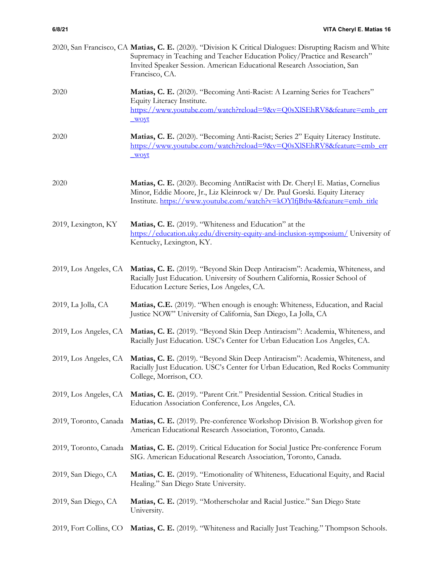|                        | 2020, San Francisco, CA Matias, C. E. (2020). "Division K Critical Dialogues: Disrupting Racism and White<br>Supremacy in Teaching and Teacher Education Policy/Practice and Research"<br>Invited Speaker Session. American Educational Research Association, San<br>Francisco, CA. |
|------------------------|-------------------------------------------------------------------------------------------------------------------------------------------------------------------------------------------------------------------------------------------------------------------------------------|
| 2020                   | Matias, C. E. (2020). "Becoming Anti-Racist: A Learning Series for Teachers"<br>Equity Literacy Institute.<br>https://www.youtube.com/watch?reload=9&v=Q0sXlSEhRV8&feature=emb_err<br><u>woyt</u>                                                                                   |
| 2020                   | Matias, C. E. (2020). "Becoming Anti-Racist; Series 2" Equity Literacy Institute.<br>https://www.youtube.com/watch?reload=9&v=Q0sXlSEhRV8&feature=emb_err<br>woyt                                                                                                                   |
| 2020                   | Matias, C. E. (2020). Becoming AntiRacist with Dr. Cheryl E. Matias, Cornelius<br>Minor, Eddie Moore, Jr., Liz Kleinrock w/ Dr. Paul Gorski. Equity Literacy<br>Institute. https://www.youtube.com/watch?v=kOYlfjBtlw4&feature=emb_title                                            |
| 2019, Lexington, KY    | Matias, C. E. (2019). "Whiteness and Education" at the<br>https://education.uky.edu/diversity-equity-and-inclusion-symposium/ University of<br>Kentucky, Lexington, KY.                                                                                                             |
| 2019, Los Angeles, CA  | Matias, C. E. (2019). "Beyond Skin Deep Antiracism": Academia, Whiteness, and<br>Racially Just Education. University of Southern California, Rossier School of<br>Education Lecture Series, Los Angeles, CA.                                                                        |
| 2019, La Jolla, CA     | Matias, C.E. (2019). "When enough is enough: Whiteness, Education, and Racial<br>Justice NOW" University of California, San Diego, La Jolla, CA                                                                                                                                     |
| 2019, Los Angeles, CA  | Matias, C. E. (2019). "Beyond Skin Deep Antiracism": Academia, Whiteness, and<br>Racially Just Education. USC's Center for Urban Education Los Angeles, CA.                                                                                                                         |
|                        | 2019, Los Angeles, CA Matias, C. E. (2019). "Beyond Skin Deep Antiracism": Academia, Whiteness, and<br>Racially Just Education. USC's Center for Urban Education, Red Rocks Community<br>College, Morrison, CO.                                                                     |
| 2019, Los Angeles, CA  | Matias, C. E. (2019). "Parent Crit." Presidential Session. Critical Studies in<br>Education Association Conference, Los Angeles, CA.                                                                                                                                                |
| 2019, Toronto, Canada  | Matias, C. E. (2019). Pre-conference Workshop Division B. Workshop given for<br>American Educational Research Association, Toronto, Canada.                                                                                                                                         |
| 2019, Toronto, Canada  | Matias, C. E. (2019). Critical Education for Social Justice Pre-conference Forum<br>SIG. American Educational Research Association, Toronto, Canada.                                                                                                                                |
| 2019, San Diego, CA    | Matias, C. E. (2019). "Emotionality of Whiteness, Educational Equity, and Racial<br>Healing." San Diego State University.                                                                                                                                                           |
| 2019, San Diego, CA    | Matias, C. E. (2019). "Motherscholar and Racial Justice." San Diego State<br>University.                                                                                                                                                                                            |
| 2019, Fort Collins, CO | Matias, C. E. (2019). "Whiteness and Racially Just Teaching." Thompson Schools.                                                                                                                                                                                                     |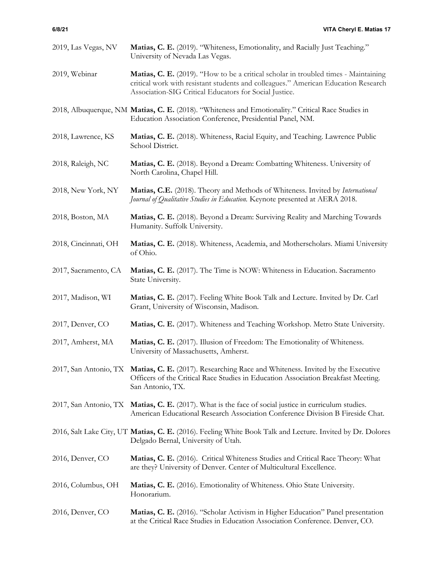| 2019, Las Vegas, NV  | Matias, C. E. (2019). "Whiteness, Emotionality, and Racially Just Teaching."<br>University of Nevada Las Vegas.                                                                                                                     |
|----------------------|-------------------------------------------------------------------------------------------------------------------------------------------------------------------------------------------------------------------------------------|
| 2019, Webinar        | Matias, C. E. (2019). "How to be a critical scholar in troubled times - Maintaining<br>critical work with resistant students and colleagues." American Education Research<br>Association-SIG Critical Educators for Social Justice. |
|                      | 2018, Albuquerque, NM Matias, C. E. (2018). "Whiteness and Emotionality." Critical Race Studies in<br>Education Association Conference, Presidential Panel, NM.                                                                     |
| 2018, Lawrence, KS   | Matias, C. E. (2018). Whiteness, Racial Equity, and Teaching. Lawrence Public<br>School District.                                                                                                                                   |
| 2018, Raleigh, NC    | Matias, C. E. (2018). Beyond a Dream: Combatting Whiteness. University of<br>North Carolina, Chapel Hill.                                                                                                                           |
| 2018, New York, NY   | Matias, C.E. (2018). Theory and Methods of Whiteness. Invited by International<br>Journal of Qualitative Studies in Education. Keynote presented at AERA 2018.                                                                      |
| 2018, Boston, MA     | Matias, C. E. (2018). Beyond a Dream: Surviving Reality and Marching Towards<br>Humanity. Suffolk University.                                                                                                                       |
| 2018, Cincinnati, OH | Matias, C. E. (2018). Whiteness, Academia, and Motherscholars. Miami University<br>of Ohio.                                                                                                                                         |
| 2017, Sacramento, CA | Matias, C. E. (2017). The Time is NOW: Whiteness in Education. Sacramento<br>State University.                                                                                                                                      |
| 2017, Madison, WI    | Matias, C. E. (2017). Feeling White Book Talk and Lecture. Invited by Dr. Carl<br>Grant, University of Wisconsin, Madison.                                                                                                          |
| 2017, Denver, CO     | Matias, C. E. (2017). Whiteness and Teaching Workshop. Metro State University.                                                                                                                                                      |
| 2017, Amherst, MA    | Matias, C. E. (2017). Illusion of Freedom: The Emotionality of Whiteness.<br>University of Massachusetts, Amherst.                                                                                                                  |
|                      | 2017, San Antonio, TX Matias, C. E. (2017). Researching Race and Whiteness. Invited by the Executive<br>Officers of the Critical Race Studies in Education Association Breakfast Meeting.<br>San Antonio, TX.                       |
|                      | 2017, San Antonio, TX Matias, C. E. (2017). What is the face of social justice in curriculum studies.<br>American Educational Research Association Conference Division B Fireside Chat.                                             |
|                      | 2016, Salt Lake City, UT Matias, C. E. (2016). Feeling White Book Talk and Lecture. Invited by Dr. Dolores<br>Delgado Bernal, University of Utah.                                                                                   |
| 2016, Denver, CO     | Matias, C. E. (2016). Critical Whiteness Studies and Critical Race Theory: What<br>are they? University of Denver. Center of Multicultural Excellence.                                                                              |
| 2016, Columbus, OH   | Matias, C. E. (2016). Emotionality of Whiteness. Ohio State University.<br>Honorarium.                                                                                                                                              |
| 2016, Denver, CO     | Matias, C. E. (2016). "Scholar Activism in Higher Education" Panel presentation<br>at the Critical Race Studies in Education Association Conference. Denver, CO.                                                                    |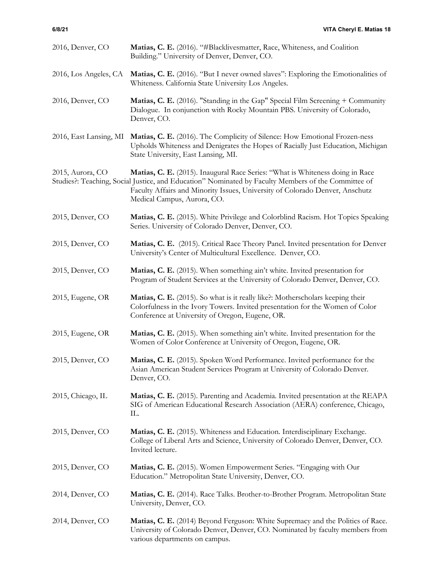| 2016, Denver, CO       | Matias, C. E. (2016). "#Blacklivesmatter, Race, Whiteness, and Coalition<br>Building." University of Denver, Denver, CO.                                                                                                                                                                            |
|------------------------|-----------------------------------------------------------------------------------------------------------------------------------------------------------------------------------------------------------------------------------------------------------------------------------------------------|
| 2016, Los Angeles, CA  | Matias, C. E. (2016). "But I never owned slaves": Exploring the Emotionalities of<br>Whiteness. California State University Los Angeles.                                                                                                                                                            |
| 2016, Denver, CO       | Matias, C. E. (2016). "Standing in the Gap" Special Film Screening + Community<br>Dialogue. In conjunction with Rocky Mountain PBS. University of Colorado,<br>Denver, CO.                                                                                                                          |
| 2016, East Lansing, MI | Matias, C. E. (2016). The Complicity of Silence: How Emotional Frozen-ness<br>Upholds Whiteness and Denigrates the Hopes of Racially Just Education, Michigan<br>State University, East Lansing, MI.                                                                                                |
| 2015, Aurora, CO       | Matias, C. E. (2015). Inaugural Race Series: "What is Whiteness doing in Race<br>Studies?: Teaching, Social Justice, and Education" Nominated by Faculty Members of the Committee of<br>Faculty Affairs and Minority Issues, University of Colorado Denver, Anschutz<br>Medical Campus, Aurora, CO. |
| 2015, Denver, CO       | Matias, C. E. (2015). White Privilege and Colorblind Racism. Hot Topics Speaking<br>Series. University of Colorado Denver, Denver, CO.                                                                                                                                                              |
| 2015, Denver, CO       | Matias, C. E. (2015). Critical Race Theory Panel. Invited presentation for Denver<br>University's Center of Multicultural Excellence. Denver, CO.                                                                                                                                                   |
| 2015, Denver, CO       | Matias, C. E. (2015). When something ain't white. Invited presentation for<br>Program of Student Services at the University of Colorado Denver, Denver, CO.                                                                                                                                         |
| 2015, Eugene, OR       | Matias, C. E. (2015). So what is it really like?: Motherscholars keeping their<br>Colorfulness in the Ivory Towers. Invited presentation for the Women of Color<br>Conference at University of Oregon, Eugene, OR.                                                                                  |
| 2015, Eugene, OR       | Matias, C. E. (2015). When something ain't white. Invited presentation for the<br>Women of Color Conference at University of Oregon, Eugene, OR.                                                                                                                                                    |
| 2015, Denver, CO       | Matias, C. E. (2015). Spoken Word Performance. Invited performance for the<br>Asian American Student Services Program at University of Colorado Denver.<br>Denver, CO.                                                                                                                              |
| 2015, Chicago, IL      | Matias, C. E. (2015). Parenting and Academia. Invited presentation at the REAPA<br>SIG of American Educational Research Association (AERA) conference, Chicago,<br>IL.                                                                                                                              |
| 2015, Denver, CO       | Matias, C. E. (2015). Whiteness and Education. Interdisciplinary Exchange.<br>College of Liberal Arts and Science, University of Colorado Denver, Denver, CO.<br>Invited lecture.                                                                                                                   |
| 2015, Denver, CO       | Matias, C. E. (2015). Women Empowerment Series. "Engaging with Our<br>Education." Metropolitan State University, Denver, CO.                                                                                                                                                                        |
| 2014, Denver, CO       | Matias, C. E. (2014). Race Talks. Brother-to-Brother Program. Metropolitan State<br>University, Denver, CO.                                                                                                                                                                                         |
| 2014, Denver, CO       | Matias, C. E. (2014) Beyond Ferguson: White Supremacy and the Politics of Race.<br>University of Colorado Denver, Denver, CO. Nominated by faculty members from<br>various departments on campus.                                                                                                   |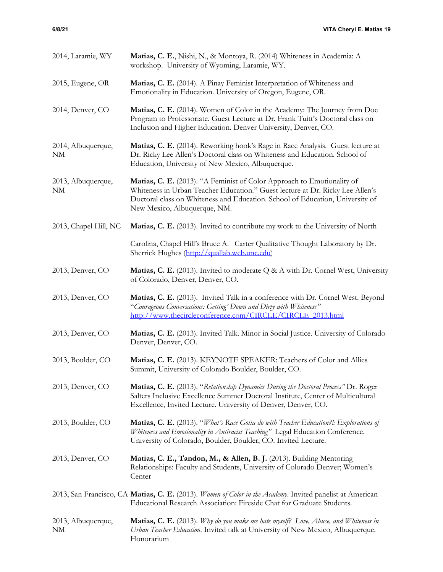| 2014, Laramie, WY                    | Matias, C. E., Nishi, N., & Montoya, R. (2014) Whiteness in Academia: A<br>workshop. University of Wyoming, Laramie, WY.                                                                                                                                                 |
|--------------------------------------|--------------------------------------------------------------------------------------------------------------------------------------------------------------------------------------------------------------------------------------------------------------------------|
| 2015, Eugene, OR                     | Matias, C. E. (2014). A Pinay Feminist Interpretation of Whiteness and<br>Emotionality in Education. University of Oregon, Eugene, OR.                                                                                                                                   |
| 2014, Denver, CO                     | Matias, C. E. (2014). Women of Color in the Academy: The Journey from Doc<br>Program to Professoriate. Guest Lecture at Dr. Frank Tuitt's Doctoral class on<br>Inclusion and Higher Education. Denver University, Denver, CO.                                            |
| 2014, Albuquerque,<br>NM             | Matias, C. E. (2014). Reworking hook's Rage in Race Analysis. Guest lecture at<br>Dr. Ricky Lee Allen's Doctoral class on Whiteness and Education. School of<br>Education, University of New Mexico, Albuquerque.                                                        |
| 2013, Albuquerque,<br>N <sub>M</sub> | Matias, C. E. (2013). "A Feminist of Color Approach to Emotionality of<br>Whiteness in Urban Teacher Education." Guest lecture at Dr. Ricky Lee Allen's<br>Doctoral class on Whiteness and Education. School of Education, University of<br>New Mexico, Albuquerque, NM. |
| 2013, Chapel Hill, NC                | Matias, C. E. (2013). Invited to contribute my work to the University of North                                                                                                                                                                                           |
|                                      | Carolina, Chapel Hill's Bruce A. Carter Qualitative Thought Laboratory by Dr.<br>Sherrick Hughes (http://quallab.web.unc.edu)                                                                                                                                            |
| 2013, Denver, CO                     | Matias, C. E. (2013). Invited to moderate Q & A with Dr. Cornel West, University<br>of Colorado, Denver, Denver, CO.                                                                                                                                                     |
| 2013, Denver, CO                     | Matias, C. E. (2013). Invited Talk in a conference with Dr. Cornel West. Beyond<br>"Courageous Conversations: Getting' Down and Dirty with Whiteness"<br>http://www.thecircleconference.com/CIRCLE/CIRCLE 2013.html                                                      |
| 2013, Denver, CO                     | Matias, C. E. (2013). Invited Talk. Minor in Social Justice. University of Colorado<br>Denver, Denver, CO.                                                                                                                                                               |
| 2013, Boulder, CO                    | Matias, C. E. (2013). KEYNOTE SPEAKER: Teachers of Color and Allies<br>Summit, University of Colorado Boulder, Boulder, CO.                                                                                                                                              |
| 2013, Denver, CO                     | Matias, C. E. (2013). "Relationship Dynamics During the Doctoral Process" Dr. Roger<br>Salters Inclusive Excellence Summer Doctoral Institute, Center of Multicultural<br>Excellence, Invited Lecture. University of Denver, Denver, CO.                                 |
| 2013, Boulder, CO                    | <b>Matias, C. E.</b> (2013). "What's Race Gotta do with Teacher Education?!: Explorations of<br>Whiteness and Emotionality in Antiracist Teaching" Legal Education Conference.<br>University of Colorado, Boulder, Boulder, CO. Invited Lecture.                         |
| 2013, Denver, CO                     | Matias, C. E., Tandon, M., & Allen, B. J. (2013). Building Mentoring<br>Relationships: Faculty and Students, University of Colorado Denver; Women's<br>Center                                                                                                            |
|                                      | 2013, San Francisco, CA Matias, C. E. (2013). Women of Color in the Academy. Invited panelist at American<br>Educational Research Association: Fireside Chat for Graduate Students.                                                                                      |
| 2013, Albuquerque,<br><b>NM</b>      | <b>Matias, C. E.</b> (2013). Why do you make me hate myself? Love, Abuse, and Whiteness in<br>Urban Teacher Education. Invited talk at University of New Mexico, Albuquerque.<br>Honorarium                                                                              |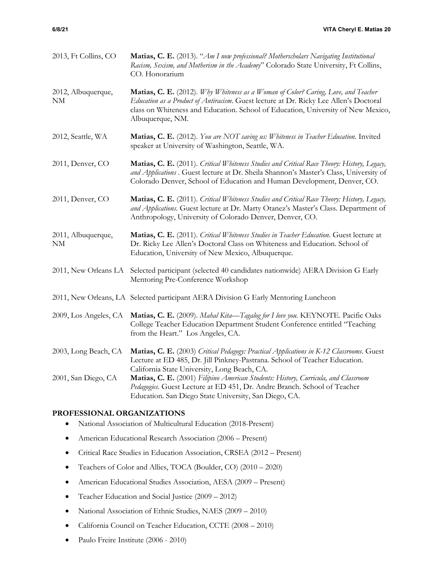| 2013, Ft Collins, CO     | Matias, C. E. (2013). "Am I now professional? Motherscholars Navigating Institutional<br>Racism, Sexism, and Motherism in the Academy" Colorado State University, Ft Collins,<br>CO. Honorarium                                                                                     |
|--------------------------|-------------------------------------------------------------------------------------------------------------------------------------------------------------------------------------------------------------------------------------------------------------------------------------|
| 2012, Albuquerque,<br>NΜ | Matias, C. E. (2012). Why Whiteness as a Woman of Color? Caring, Love, and Teacher<br>Education as a Product of Antiracism. Guest lecture at Dr. Ricky Lee Allen's Doctoral<br>class on Whiteness and Education. School of Education, University of New Mexico,<br>Albuquerque, NM. |
| 2012, Seattle, WA        | Matias, C. E. (2012). You are NOT saving us: Whiteness in Teacher Education. Invited<br>speaker at University of Washington, Seattle, WA.                                                                                                                                           |
| 2011, Denver, CO         | Matias, C. E. (2011). Critical Whiteness Studies and Critical Race Theory: History, Legacy,<br>and Applications . Guest lecture at Dr. Sheila Shannon's Master's Class, University of<br>Colorado Denver, School of Education and Human Development, Denver, CO.                    |
| 2011, Denver, CO         | Matias, C. E. (2011). Critical Whiteness Studies and Critical Race Theory: History, Legacy,<br>and Applications. Guest lecture at Dr. Marty Otanez's Master's Class. Department of<br>Anthropology, University of Colorado Denver, Denver, CO.                                      |
| 2011, Albuquerque,<br>NM | Matias, C. E. (2011). Critical Whiteness Studies in Teacher Education. Guest lecture at<br>Dr. Ricky Lee Allen's Doctoral Class on Whiteness and Education. School of<br>Education, University of New Mexico, Albuquerque.                                                          |
| 2011, New Orleans LA     | Selected participant (selected 40 candidates nationwide) AERA Division G Early<br>Mentoring Pre-Conference Workshop                                                                                                                                                                 |
|                          | 2011, New Orleans, LA Selected participant AERA Division G Early Mentoring Luncheon                                                                                                                                                                                                 |
| 2009, Los Angeles, CA    | Matias, C. E. (2009). Mahal Kita-Tagalog for I love you. KEYNOTE. Pacific Oaks<br>College Teacher Education Department Student Conference entitled "Teaching<br>from the Heart." Los Angeles, CA.                                                                                   |
| 2003, Long Beach, CA     | Matias, C. E. (2003) Critical Pedagogy: Practical Applications in K-12 Classrooms. Guest<br>Lecture at ED 485, Dr. Jill Pinkney-Pastrana. School of Teacher Education.<br>California State University, Long Beach, CA.                                                              |
| 2001, San Diego, CA      | Matias, C. E. (2001) Filipino American Students: History, Curricula, and Classroom<br>Pedagogies. Guest Lecture at ED 451, Dr. Andre Branch. School of Teacher<br>Education. San Diego State University, San Diego, CA.                                                             |

# **PROFESSIONAL ORGANIZATIONS**

- National Association of Multicultural Education (2018-Present)
- American Educational Research Association (2006 Present)
- Critical Race Studies in Education Association, CRSEA (2012 Present)
- Teachers of Color and Allies, TOCA (Boulder, CO) (2010 2020)
- American Educational Studies Association, AESA (2009 Present)
- Teacher Education and Social Justice (2009 2012)
- National Association of Ethnic Studies, NAES (2009 2010)
- California Council on Teacher Education, CCTE (2008 2010)
- Paulo Freire Institute (2006 2010)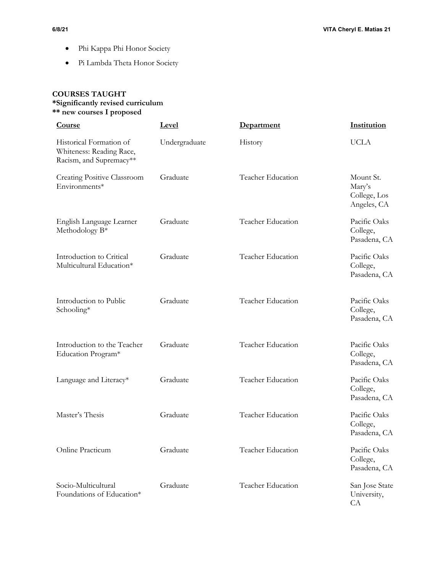- Phi Kappa Phi Honor Society
- Pi Lambda Theta Honor Society

# **COURSES TAUGHT \*Significantly revised curriculum \*\* new courses I proposed**

| <b>Course</b>                                                                  | Level         | Department               | Institution                                        |
|--------------------------------------------------------------------------------|---------------|--------------------------|----------------------------------------------------|
| Historical Formation of<br>Whiteness: Reading Race,<br>Racism, and Supremacy** | Undergraduate | History                  | <b>UCLA</b>                                        |
| Creating Positive Classroom<br>Environments*                                   | Graduate      | Teacher Education        | Mount St.<br>Mary's<br>College, Los<br>Angeles, CA |
| English Language Learner<br>Methodology B <sup>*</sup>                         | Graduate      | Teacher Education        | Pacific Oaks<br>College,<br>Pasadena, CA           |
| Introduction to Critical<br>Multicultural Education*                           | Graduate      | Teacher Education        | Pacific Oaks<br>College,<br>Pasadena, CA           |
| Introduction to Public<br>Schooling*                                           | Graduate      | Teacher Education        | Pacific Oaks<br>College,<br>Pasadena, CA           |
| Introduction to the Teacher<br>Education Program*                              | Graduate      | <b>Teacher Education</b> | Pacific Oaks<br>College,<br>Pasadena, CA           |
| Language and Literacy*                                                         | Graduate      | Teacher Education        | Pacific Oaks<br>College,<br>Pasadena, CA           |
| Master's Thesis                                                                | Graduate      | Teacher Education        | Pacific Oaks<br>College,<br>Pasadena, CA           |
| Online Practicum                                                               | Graduate      | Teacher Education        | Pacific Oaks<br>College,<br>Pasadena, CA           |
| Socio-Multicultural<br>Foundations of Education*                               | Graduate      | Teacher Education        | San Jose State<br>University,<br>CA                |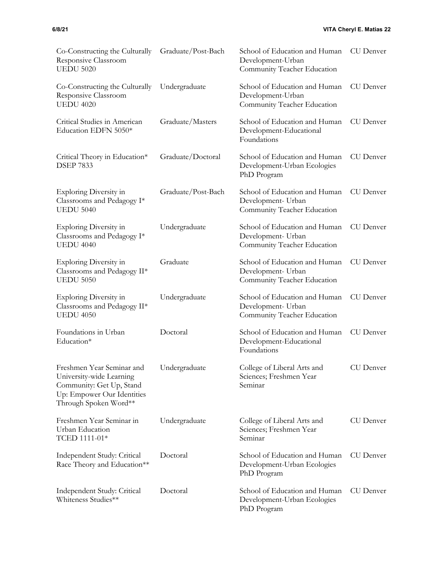| <b>UEDU 5020</b>                                                                                                                         |                    | Community Teacher Education                                                        |                  |
|------------------------------------------------------------------------------------------------------------------------------------------|--------------------|------------------------------------------------------------------------------------|------------------|
| Co-Constructing the Culturally<br>Responsive Classroom<br><b>UEDU 4020</b>                                                               | Undergraduate      | School of Education and Human<br>Development-Urban<br>Community Teacher Education  | <b>CU</b> Denver |
| Critical Studies in American<br>Education EDFN 5050*                                                                                     | Graduate/Masters   | School of Education and Human<br>Development-Educational<br>Foundations            | <b>CU</b> Denver |
| Critical Theory in Education*<br><b>DSEP 7833</b>                                                                                        | Graduate/Doctoral  | School of Education and Human<br>Development-Urban Ecologies<br>PhD Program        | <b>CU</b> Denver |
| Exploring Diversity in<br>Classrooms and Pedagogy I*<br><b>UEDU 5040</b>                                                                 | Graduate/Post-Bach | School of Education and Human<br>Development- Urban<br>Community Teacher Education | CU Denver        |
| <b>Exploring Diversity in</b><br>Classrooms and Pedagogy $I^*$<br><b>UEDU 4040</b>                                                       | Undergraduate      | School of Education and Human<br>Development- Urban<br>Community Teacher Education | <b>CU</b> Denver |
| <b>Exploring Diversity in</b><br>Classrooms and Pedagogy II*<br><b>UEDU 5050</b>                                                         | Graduate           | School of Education and Human<br>Development- Urban<br>Community Teacher Education | <b>CU</b> Denver |
| <b>Exploring Diversity in</b><br>Classrooms and Pedagogy II*<br><b>UEDU 4050</b>                                                         | Undergraduate      | School of Education and Human<br>Development- Urban<br>Community Teacher Education | <b>CU</b> Denver |
| Foundations in Urban<br>Education*                                                                                                       | Doctoral           | School of Education and Human<br>Development-Educational<br>Foundations            | <b>CU</b> Denver |
| Freshmen Year Seminar and<br>University-wide Learning<br>Community: Get Up, Stand<br>Up: Empower Our Identities<br>Through Spoken Word** | Undergraduate      | College of Liberal Arts and<br>Sciences; Freshmen Year<br>Seminar                  | <b>CU</b> Denver |
| Freshmen Year Seminar in<br>Urban Education<br>TCED 1111-01*                                                                             | Undergraduate      | College of Liberal Arts and<br>Sciences; Freshmen Year<br>Seminar                  | <b>CU</b> Denver |
| Independent Study: Critical<br>Race Theory and Education**                                                                               | Doctoral           | School of Education and Human<br>Development-Urban Ecologies<br>PhD Program        | <b>CU</b> Denver |
| Independent Study: Critical<br>Whiteness Studies**                                                                                       | Doctoral           | School of Education and Human<br>Development-Urban Ecologies<br>PhD Program        | <b>CU</b> Denver |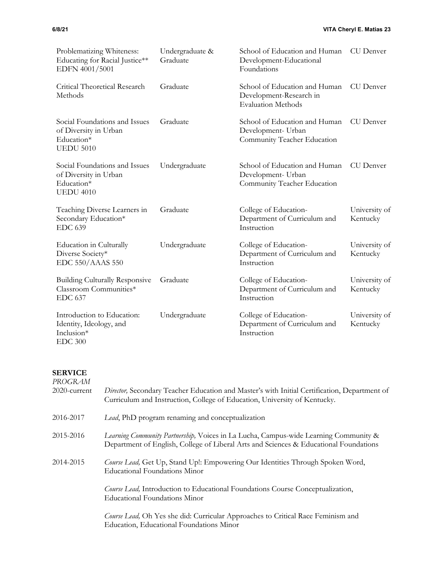| Problematizing Whiteness:<br>Educating for Racial Justice**<br>EDFN 4001/5001            | Undergraduate &<br>Graduate | School of Education and Human CU Denver<br>Development-Educational<br>Foundations     |                           |
|------------------------------------------------------------------------------------------|-----------------------------|---------------------------------------------------------------------------------------|---------------------------|
| Critical Theoretical Research<br>Methods                                                 | Graduate                    | School of Education and Human<br>Development-Research in<br><b>Evaluation Methods</b> | CU Denver                 |
| Social Foundations and Issues<br>of Diversity in Urban<br>Education*<br><b>UEDU 5010</b> | Graduate                    | School of Education and Human<br>Development- Urban<br>Community Teacher Education    | CU Denver                 |
| Social Foundations and Issues<br>of Diversity in Urban<br>Education*<br><b>UEDU 4010</b> | Undergraduate               | School of Education and Human<br>Development- Urban<br>Community Teacher Education    | CU Denver                 |
| Teaching Diverse Learners in<br>Secondary Education*<br><b>EDC 639</b>                   | Graduate                    | College of Education-<br>Department of Curriculum and<br>Instruction                  | University of<br>Kentucky |
| Education in Culturally<br>Diverse Society*<br>EDC 550/AAAS 550                          | Undergraduate               | College of Education-<br>Department of Curriculum and<br>Instruction                  | University of<br>Kentucky |
| <b>Building Culturally Responsive</b><br>Classroom Communities*<br><b>EDC 637</b>        | Graduate                    | College of Education-<br>Department of Curriculum and<br>Instruction                  | University of<br>Kentucky |
| Introduction to Education:<br>Identity, Ideology, and<br>Inclusion*<br><b>EDC 300</b>    | Undergraduate               | College of Education-<br>Department of Curriculum and<br>Instruction                  | University of<br>Kentucky |

## **SERVICE**

| PROGRAM         |                                                                                                                                                                               |
|-----------------|-------------------------------------------------------------------------------------------------------------------------------------------------------------------------------|
| $2020$ -current | Director, Secondary Teacher Education and Master's with Initial Certification, Department of<br>Curriculum and Instruction, College of Education, University of Kentucky.     |
| 2016-2017       | Lead, PhD program renaming and conceptualization                                                                                                                              |
| 2015-2016       | Learning Community Partnership, Voices in La Lucha, Campus-wide Learning Community &<br>Department of English, College of Liberal Arts and Sciences & Educational Foundations |
| 2014-2015       | Course Lead, Get Up, Stand Up!: Empowering Our Identities Through Spoken Word,<br>Educational Foundations Minor                                                               |
|                 | <i>Course Lead</i> , Introduction to Educational Foundations Course Conceptualization,<br><b>Educational Foundations Minor</b>                                                |
|                 | Course Lead, Oh Yes she did: Curricular Approaches to Critical Race Feminism and<br>Education, Educational Foundations Minor                                                  |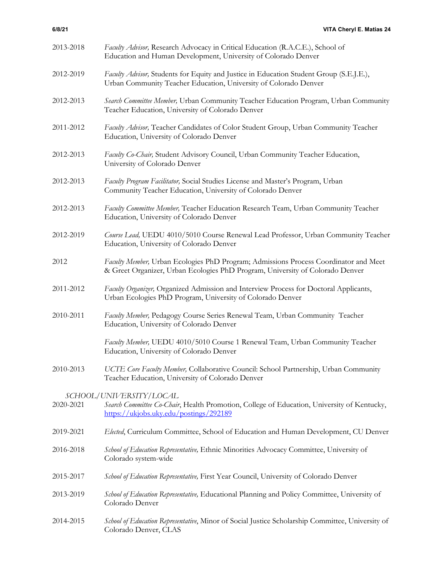| 2013-2018 | Faculty Advisor, Research Advocacy in Critical Education (R.A.C.E.), School of<br>Education and Human Development, University of Colorado Denver                      |
|-----------|-----------------------------------------------------------------------------------------------------------------------------------------------------------------------|
| 2012-2019 | Faculty Advisor, Students for Equity and Justice in Education Student Group (S.E.J.E.),<br>Urban Community Teacher Education, University of Colorado Denver           |
| 2012-2013 | Search Committee Member, Urban Community Teacher Education Program, Urban Community<br>Teacher Education, University of Colorado Denver                               |
| 2011-2012 | Faculty Advisor, Teacher Candidates of Color Student Group, Urban Community Teacher<br>Education, University of Colorado Denver                                       |
| 2012-2013 | Faculty Co-Chair, Student Advisory Council, Urban Community Teacher Education,<br>University of Colorado Denver                                                       |
| 2012-2013 | Faculty Program Facilitator, Social Studies License and Master's Program, Urban<br>Community Teacher Education, University of Colorado Denver                         |
| 2012-2013 | Faculty Committee Member, Teacher Education Research Team, Urban Community Teacher<br>Education, University of Colorado Denver                                        |
| 2012-2019 | Course Lead, UEDU 4010/5010 Course Renewal Lead Professor, Urban Community Teacher<br>Education, University of Colorado Denver                                        |
| 2012      | Faculty Member, Urban Ecologies PhD Program; Admissions Process Coordinator and Meet<br>& Greet Organizer, Urban Ecologies PhD Program, University of Colorado Denver |
| 2011-2012 | Faculty Organizer, Organized Admission and Interview Process for Doctoral Applicants,<br>Urban Ecologies PhD Program, University of Colorado Denver                   |
| 2010-2011 | Faculty Member, Pedagogy Course Series Renewal Team, Urban Community Teacher<br>Education, University of Colorado Denver                                              |
|           | Faculty Member, UEDU 4010/5010 Course 1 Renewal Team, Urban Community Teacher<br>Education, University of Colorado Denver                                             |
| 2010-2013 | UCTE Core Faculty Member, Collaborative Council: School Partnership, Urban Community<br>Teacher Education, University of Colorado Denver                              |
|           | SCHOOL/UNIVERSITY/LOCAL                                                                                                                                               |
| 2020-2021 | Search Committee Co-Chair, Health Promotion, College of Education, University of Kentucky,<br>https://ukjobs.uky.edu/postings/292189                                  |
| 2019-2021 | Elected, Curriculum Committee, School of Education and Human Development, CU Denver                                                                                   |
| 2016-2018 | School of Education Representative, Ethnic Minorities Advocacy Committee, University of<br>Colorado system-wide                                                       |
| 2015-2017 | School of Education Representative, First Year Council, University of Colorado Denver                                                                                 |
| 2013-2019 | School of Education Representative, Educational Planning and Policy Committee, University of<br>Colorado Denver                                                       |
| 2014-2015 | School of Education Representative, Minor of Social Justice Scholarship Committee, University of<br>Colorado Denver, CLAS                                             |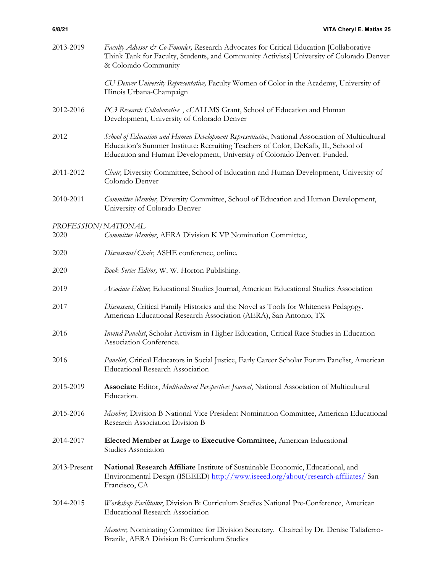| 2013-2019                   | Faculty Advisor & Co-Founder, Research Advocates for Critical Education [Collaborative<br>Think Tank for Faculty, Students, and Community Activists] University of Colorado Denver<br>& Colorado Community                                                      |
|-----------------------------|-----------------------------------------------------------------------------------------------------------------------------------------------------------------------------------------------------------------------------------------------------------------|
|                             | CU Denver University Representative, Faculty Women of Color in the Academy, University of<br>Illinois Urbana-Champaign                                                                                                                                          |
| 2012-2016                   | PC3 Research Collaborative, eCALLMS Grant, School of Education and Human<br>Development, University of Colorado Denver                                                                                                                                          |
| 2012                        | School of Education and Human Development Representative, National Association of Multicultural<br>Education's Summer Institute: Recruiting Teachers of Color, DeKalb, IL, School of<br>Education and Human Development, University of Colorado Denver. Funded. |
| 2011-2012                   | Chair, Diversity Committee, School of Education and Human Development, University of<br>Colorado Denver                                                                                                                                                         |
| 2010-2011                   | Committee Member, Diversity Committee, School of Education and Human Development,<br>University of Colorado Denver                                                                                                                                              |
| PROFESSION/NATIONAL<br>2020 | Committee Member, AERA Division K VP Nomination Committee,                                                                                                                                                                                                      |
| 2020                        | Discussant/Chair, ASHE conference, online.                                                                                                                                                                                                                      |
| 2020                        | Book Series Editor, W. W. Horton Publishing.                                                                                                                                                                                                                    |
| 2019                        | Associate Editor, Educational Studies Journal, American Educational Studies Association                                                                                                                                                                         |
| 2017                        | Discussant, Critical Family Histories and the Novel as Tools for Whiteness Pedagogy.<br>American Educational Research Association (AERA), San Antonio, TX                                                                                                       |
| 2016                        | Invited Panelist, Scholar Activism in Higher Education, Critical Race Studies in Education<br>Association Conference.                                                                                                                                           |
| 2016                        | Panelist, Critical Educators in Social Justice, Early Career Scholar Forum Panelist, American<br><b>Educational Research Association</b>                                                                                                                        |
| 2015-2019                   | Associate Editor, Multicultural Perspectives Journal, National Association of Multicultural<br>Education.                                                                                                                                                       |
| 2015-2016                   | Member, Division B National Vice President Nomination Committee, American Educational<br>Research Association Division B                                                                                                                                        |
| 2014-2017                   | Elected Member at Large to Executive Committee, American Educational<br>Studies Association                                                                                                                                                                     |
| 2013-Present                | National Research Affiliate Institute of Sustainable Economic, Educational, and<br>Environmental Design (ISEEED) http://www.iseeed.org/about/research-affiliates/ San<br>Francisco, CA                                                                          |
| 2014-2015                   | Workshop Facilitator, Division B: Curriculum Studies National Pre-Conference, American<br><b>Educational Research Association</b>                                                                                                                               |
|                             | Member, Nominating Committee for Division Secretary. Chaired by Dr. Denise Taliaferro-<br>Brazile, AERA Division B: Curriculum Studies                                                                                                                          |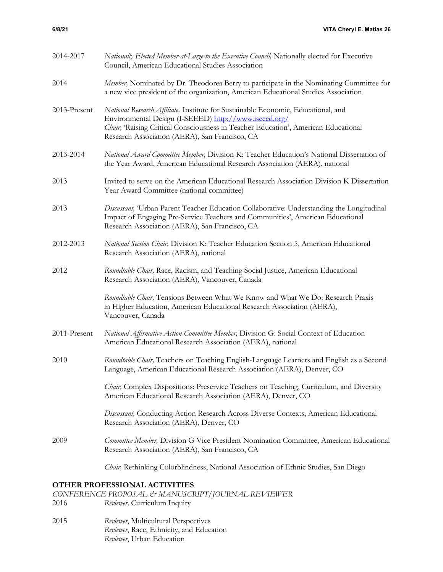| 2014-2017    | Nationally Elected Member-at-Large to the Executive Council, Nationally elected for Executive<br>Council, American Educational Studies Association                                                                                                                                 |
|--------------|------------------------------------------------------------------------------------------------------------------------------------------------------------------------------------------------------------------------------------------------------------------------------------|
| 2014         | Member, Nominated by Dr. Theodorea Berry to participate in the Nominating Committee for<br>a new vice president of the organization, American Educational Studies Association                                                                                                      |
| 2013-Present | National Research Affiliate, Institute for Sustainable Economic, Educational, and<br>Environmental Design (I-SEEED) http://www.iseeed.org/<br>Chair, 'Raising Critical Consciousness in Teacher Education', American Educational<br>Research Association (AERA), San Francisco, CA |
| 2013-2014    | National Award Committee Member, Division K: Teacher Education's National Dissertation of<br>the Year Award, American Educational Research Association (AERA), national                                                                                                            |
| 2013         | Invited to serve on the American Educational Research Association Division K Dissertation<br>Year Award Committee (national committee)                                                                                                                                             |
| 2013         | Discussant, 'Urban Parent Teacher Education Collaborative: Understanding the Longitudinal<br>Impact of Engaging Pre-Service Teachers and Communities', American Educational<br>Research Association (AERA), San Francisco, CA                                                      |
| 2012-2013    | National Section Chair, Division K: Teacher Education Section 5, American Educational<br>Research Association (AERA), national                                                                                                                                                     |
| 2012         | Roundtable Chair, Race, Racism, and Teaching Social Justice, American Educational<br>Research Association (AERA), Vancouver, Canada                                                                                                                                                |
|              | Roundtable Chair, Tensions Between What We Know and What We Do: Research Praxis<br>in Higher Education, American Educational Research Association (AERA),<br>Vancouver, Canada                                                                                                     |
| 2011-Present | National Affirmative Action Committee Member, Division G: Social Context of Education<br>American Educational Research Association (AERA), national                                                                                                                                |
| 2010         | Roundtable Chair, Teachers on Teaching English-Language Learners and English as a Second<br>Language, American Educational Research Association (AERA), Denver, CO                                                                                                                 |
|              | Chair, Complex Dispositions: Preservice Teachers on Teaching, Curriculum, and Diversity<br>American Educational Research Association (AERA), Denver, CO                                                                                                                            |
|              | Discussant, Conducting Action Research Across Diverse Contexts, American Educational<br>Research Association (AERA), Denver, CO                                                                                                                                                    |
| 2009         | Committee Member, Division G Vice President Nomination Committee, American Educational<br>Research Association (AERA), San Francisco, CA                                                                                                                                           |
|              | Chair, Rethinking Colorblindness, National Association of Ethnic Studies, San Diego                                                                                                                                                                                                |
|              | THE DROEDSCLOMAL ACTIVITIES                                                                                                                                                                                                                                                        |

# **OTHER PROFESSIONAL ACTIVITIES**

*CONFERENCE PROPOSAL & MANUSCRIPT/JOURNAL REVIEWER*

- 2016 *Reviewer,* Curriculum Inquiry
- 2015 *Reviewer*, Multicultural Perspectives *Reviewer*, Race, Ethnicity, and Education *Reviewer*, Urban Education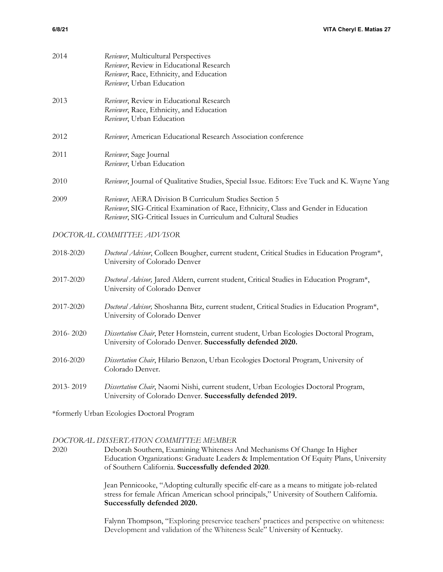| 2014      | Reviewer, Multicultural Perspectives<br>Reviewer, Review in Educational Research<br>Reviewer, Race, Ethnicity, and Education<br>Reviewer, Urban Education                                                          |
|-----------|--------------------------------------------------------------------------------------------------------------------------------------------------------------------------------------------------------------------|
| 2013      | Reviewer, Review in Educational Research<br>Reviewer, Race, Ethnicity, and Education<br>Reviewer, Urban Education                                                                                                  |
| 2012      | Reviewer, American Educational Research Association conference                                                                                                                                                     |
| 2011      | Reviewer, Sage Journal<br>Reviewer, Urban Education                                                                                                                                                                |
| 2010      | Reviewer, Journal of Qualitative Studies, Special Issue. Editors: Eve Tuck and K. Wayne Yang                                                                                                                       |
| 2009      | Reviewer, AERA Division B Curriculum Studies Section 5<br>Reviewer, SIG-Critical Examination of Race, Ethnicity, Class and Gender in Education<br>Reviewer, SIG-Critical Issues in Curriculum and Cultural Studies |
|           | DOCTORAL COMMITTEE ADVISOR                                                                                                                                                                                         |
| 2018-2020 | Doctoral Advisor, Colleen Bougher, current student, Critical Studies in Education Program*,<br>University of Colorado Denver                                                                                       |
| 2017-2020 | Doctoral Advisor, Jared Aldern, current student, Critical Studies in Education Program*,<br>University of Colorado Denver                                                                                          |
| 2017-2020 | Doctoral Advisor, Shoshanna Bitz, current student, Critical Studies in Education Program*,<br>University of Colorado Denver                                                                                        |
| 2016-2020 | Dissertation Chair, Peter Hornstein, current student, Urban Ecologies Doctoral Program,<br>University of Colorado Denver. Successfully defended 2020.                                                              |
| 2016-2020 | Dissertation Chair, Hilario Benzon, Urban Ecologies Doctoral Program, University of<br>Colorado Denver.                                                                                                            |
| 2013-2019 | Dissertation Chair, Naomi Nishi, current student, Urban Ecologies Doctoral Program,<br>University of Colorado Denver. Successfully defended 2019.                                                                  |
|           | *formerly Urban Ecologies Doctoral Program                                                                                                                                                                         |

## *DOCTORAL DISSERTATION COMMITTEE MEMBER*

2020 Deborah Southern, Examining Whiteness And Mechanisms Of Change In Higher Education Organizations: Graduate Leaders & Implementation Of Equity Plans, University of Southern California. **Successfully defended 2020**.

> Jean Pennicooke, "Adopting culturally specific elf-care as a means to mitigate job-related stress for female African American school principals," University of Southern California. **Successfully defended 2020.**

Falynn Thompson, "Exploring preservice teachers' practices and perspective on whiteness: Development and validation of the Whiteness Scale" University of Kentucky.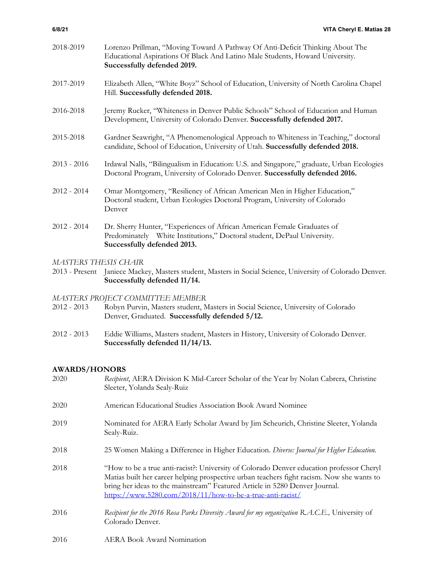| 2018-2019            | Lorenzo Prillman, "Moving Toward A Pathway Of Anti-Deficit Thinking About The<br>Educational Aspirations Of Black And Latino Male Students, Howard University.<br>Successfully defended 2019. |  |
|----------------------|-----------------------------------------------------------------------------------------------------------------------------------------------------------------------------------------------|--|
| 2017-2019            | Elizabeth Allen, "White Boyz" School of Education, University of North Carolina Chapel<br>Hill. Successfully defended 2018.                                                                   |  |
| 2016-2018            | Jeremy Rucker, "Whiteness in Denver Public Schools" School of Education and Human<br>Development, University of Colorado Denver. Successfully defended 2017.                                  |  |
| 2015-2018            | Gardner Seawright, "A Phenomenological Approach to Whiteness in Teaching," doctoral<br>candidate, School of Education, University of Utah. Successfully defended 2018.                        |  |
| $2013 - 2016$        | Irdawal Nalls, "Bilingualism in Education: U.S. and Singapore," graduate, Urban Ecologies<br>Doctoral Program, University of Colorado Denver. Successfully defended 2016.                     |  |
| $2012 - 2014$        | Omar Montgomery, "Resiliency of African American Men in Higher Education,"<br>Doctoral student, Urban Ecologies Doctoral Program, University of Colorado<br>Denver                            |  |
| $2012 - 2014$        | Dr. Sherry Hunter, "Experiences of African American Female Graduates of<br>Predominately White Institutions," Doctoral student, DePaul University.<br>Successfully defended 2013.             |  |
| MASTERS THESIS CHAIR |                                                                                                                                                                                               |  |
|                      | 2013 - Present Janiece Mackey, Masters student, Masters in Social Science, University of Colorado Denver.                                                                                     |  |

**Successfully defended 11/14.**

## *MASTERS PROJECT COMMITTEE MEMBER*

- 2012 2013 Robyn Purvin, Masters student, Masters in Social Science, University of Colorado Denver, Graduated. **Successfully defended 5/12.**
- 2012 2013 Eddie Williams, Masters student, Masters in History, University of Colorado Denver. **Successfully defended 11/14/13.**

# **AWARDS/HONORS**

| 2020 | Recipient, AERA Division K Mid-Career Scholar of the Year by Nolan Cabrera, Christine<br>Sleeter, Yolanda Sealy-Ruiz                                                                                                                                                                                                               |
|------|------------------------------------------------------------------------------------------------------------------------------------------------------------------------------------------------------------------------------------------------------------------------------------------------------------------------------------|
| 2020 | American Educational Studies Association Book Award Nominee                                                                                                                                                                                                                                                                        |
| 2019 | Nominated for AERA Early Scholar Award by Jim Scheurich, Christine Sleeter, Yolanda<br>Sealy-Ruiz.                                                                                                                                                                                                                                 |
| 2018 | 25 Women Making a Difference in Higher Education. Diverse: Journal for Higher Education.                                                                                                                                                                                                                                           |
| 2018 | "How to be a true anti-racist?: University of Colorado Denver education professor Cheryl<br>Matias built her career helping prospective urban teachers fight racism. Now she wants to<br>bring her ideas to the mainstream" Featured Article in 5280 Denver Journal.<br>https://www.5280.com/2018/11/how-to-be-a-true-anti-racist/ |
| 2016 | Recipient for the 2016 Rosa Parks Diversity Award for my organization R.A.C.E., University of<br>Colorado Denver.                                                                                                                                                                                                                  |

2016 AERA Book Award Nomination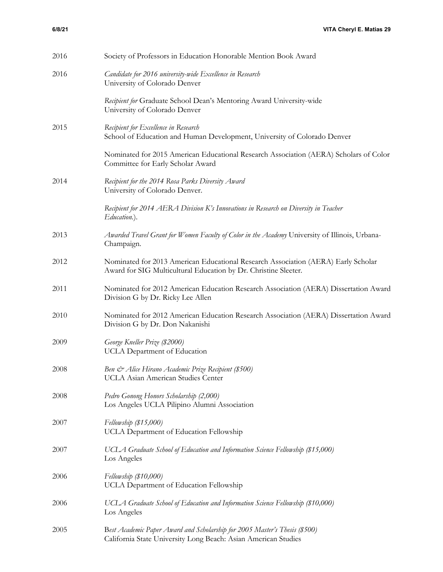| 2016 | Society of Professors in Education Honorable Mention Book Award                                                                                      |
|------|------------------------------------------------------------------------------------------------------------------------------------------------------|
| 2016 | Candidate for 2016 university-wide Excellence in Research<br>University of Colorado Denver                                                           |
|      | Recipient for Graduate School Dean's Mentoring Award University-wide<br>University of Colorado Denver                                                |
| 2015 | Recipient for Excellence in Research<br>School of Education and Human Development, University of Colorado Denver                                     |
|      | Nominated for 2015 American Educational Research Association (AERA) Scholars of Color<br>Committee for Early Scholar Award                           |
| 2014 | Recipient for the 2014 Rosa Parks Diversity Award<br>University of Colorado Denver.                                                                  |
|      | Recipient for 2014 AERA Division K's Innovations in Research on Diversity in Teacher<br>Education.).                                                 |
| 2013 | Awarded Travel Grant for Women Faculty of Color in the Academy University of Illinois, Urbana-<br>Champaign.                                         |
| 2012 | Nominated for 2013 American Educational Research Association (AERA) Early Scholar<br>Award for SIG Multicultural Education by Dr. Christine Sleeter. |
| 2011 | Nominated for 2012 American Education Research Association (AERA) Dissertation Award<br>Division G by Dr. Ricky Lee Allen                            |
| 2010 | Nominated for 2012 American Education Research Association (AERA) Dissertation Award<br>Division G by Dr. Don Nakanishi                              |
| 2009 | George Kneller Prize (\$2000)<br>UCLA Department of Education                                                                                        |
| 2008 | Ben & Alice Hirano Academic Prize Recipient (\$500)<br>UCLA Asian American Studies Center                                                            |
| 2008 | Pedro Gonong Honors Scholarship (2,000)<br>Los Angeles UCLA Pilipino Alumni Association                                                              |
| 2007 | Fellowship $(\$15,000)$<br>UCLA Department of Education Fellowship                                                                                   |
| 2007 | UCLA Graduate School of Education and Information Science Fellowship (\$15,000)<br>Los Angeles                                                       |
| 2006 | $Fellowship$ (\$10,000)<br>UCLA Department of Education Fellowship                                                                                   |
| 2006 | UCLA Graduate School of Education and Information Science Fellowship (\$10,000)<br>Los Angeles                                                       |
| 2005 | Best Academic Paper Award and Scholarship for 2005 Master's Thesis (\$500)<br>California State University Long Beach: Asian American Studies         |